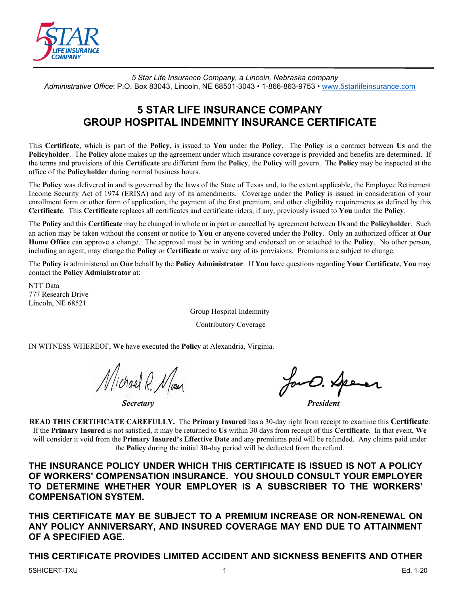

*5 Star Life Insurance Company, a Lincoln, Nebraska company Administrative Office*: P.O. Box 83043, Lincoln, NE 68501-3043 • 1-866-863-9753 • [www.5starlifeinsurance.com](http://www.5starlifeinsurance.com/)

# **5 STAR LIFE INSURANCE COMPANY GROUP HOSPITAL INDEMNITY INSURANCE CERTIFICATE**

This **Certificate**, which is part of the **Policy**, is issued to **You** under the **Policy**. The **Policy** is a contract between **Us** and the **Policyholder**. The **Policy** alone makes up the agreement under which insurance coverage is provided and benefits are determined. If the terms and provisions of this **Certificate** are different from the **Policy**, the **Policy** will govern. The **Policy** may be inspected at the office of the **Policyholder** during normal business hours.

The **Policy** was delivered in and is governed by the laws of the State of Texas and, to the extent applicable, the Employee Retirement Income Security Act of 1974 (ERISA) and any of its amendments. Coverage under the **Policy** is issued in consideration of your enrollment form or other form of application, the payment of the first premium, and other eligibility requirements as defined by this **Certificate**. This **Certificate** replaces all certificates and certificate riders, if any, previously issued to **You** under the **Policy**.

The **Policy** and this **Certificate** may be changed in whole or in part or cancelled by agreement between **Us** and the **Policyholder**. Such an action may be taken without the consent or notice to **You** or anyone covered under the **Policy**. Only an authorized officer at **Our Home Office** can approve a change. The approval must be in writing and endorsed on or attached to the **Policy**. No other person, including an agent, may change the **Policy** or **Certificate** or waive any of its provisions. Premiums are subject to change.

The **Policy** is administered on **Our** behalf by the **Policy Administrator**. If **You** have questions regarding **Your Certificate**, **You** may contact the **Policy Administrator** at:

NTT Data 777 Research Drive Lincoln, NE 68521

Group Hospital Indemnity

Contributory Coverage

IN WITNESS WHEREOF, **We** have executed the **Policy** at Alexandria, Virginia.

*Secretary President*

**READ THIS CERTIFICATE CAREFULLY.** The **Primary Insured** has a 30-day right from receipt to examine this **Certificate**. If the **Primary Insured** is not satisfied, it may be returned to **Us** within 30 days from receipt of this **Certificate**. In that event, **We** will consider it void from the **Primary Insured's Effective Date** and any premiums paid will be refunded. Any claims paid under the **Policy** during the initial 30-day period will be deducted from the refund.

**THE INSURANCE POLICY UNDER WHICH THIS CERTIFICATE IS ISSUED IS NOT A POLICY OF WORKERS' COMPENSATION INSURANCE. YOU SHOULD CONSULT YOUR EMPLOYER TO DETERMINE WHETHER YOUR EMPLOYER IS A SUBSCRIBER TO THE WORKERS' COMPENSATION SYSTEM.**

**THIS CERTIFICATE MAY BE SUBJECT TO A PREMIUM INCREASE OR NON-RENEWAL ON ANY POLICY ANNIVERSARY, AND INSURED COVERAGE MAY END DUE TO ATTAINMENT OF A SPECIFIED AGE.**

#### **THIS CERTIFICATE PROVIDES LIMITED ACCIDENT AND SICKNESS BENEFITS AND OTHER**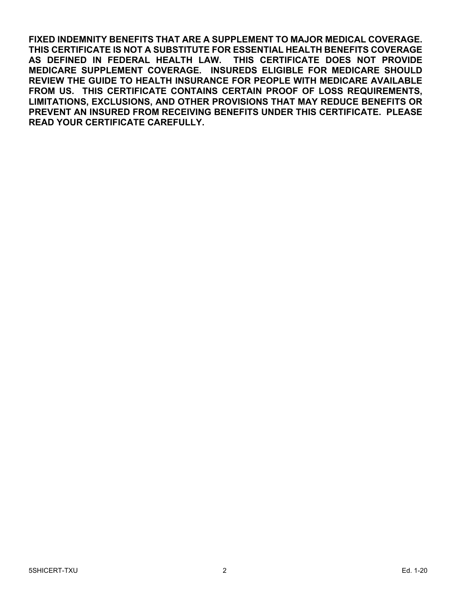**FIXED INDEMNITY BENEFITS THAT ARE A SUPPLEMENT TO MAJOR MEDICAL COVERAGE. THIS CERTIFICATE IS NOT A SUBSTITUTE FOR ESSENTIAL HEALTH BENEFITS COVERAGE AS DEFINED IN FEDERAL HEALTH LAW. THIS CERTIFICATE DOES NOT PROVIDE MEDICARE SUPPLEMENT COVERAGE. INSUREDS ELIGIBLE FOR MEDICARE SHOULD REVIEW THE GUIDE TO HEALTH INSURANCE FOR PEOPLE WITH MEDICARE AVAILABLE FROM US. THIS CERTIFICATE CONTAINS CERTAIN PROOF OF LOSS REQUIREMENTS, LIMITATIONS, EXCLUSIONS, AND OTHER PROVISIONS THAT MAY REDUCE BENEFITS OR PREVENT AN INSURED FROM RECEIVING BENEFITS UNDER THIS CERTIFICATE. PLEASE READ YOUR CERTIFICATE CAREFULLY.**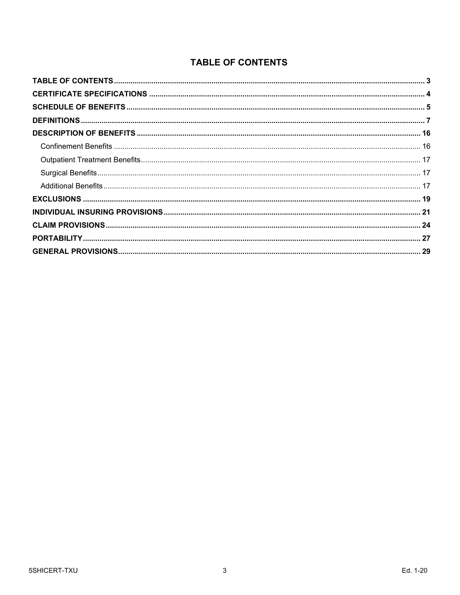# **TABLE OF CONTENTS**

<span id="page-2-0"></span>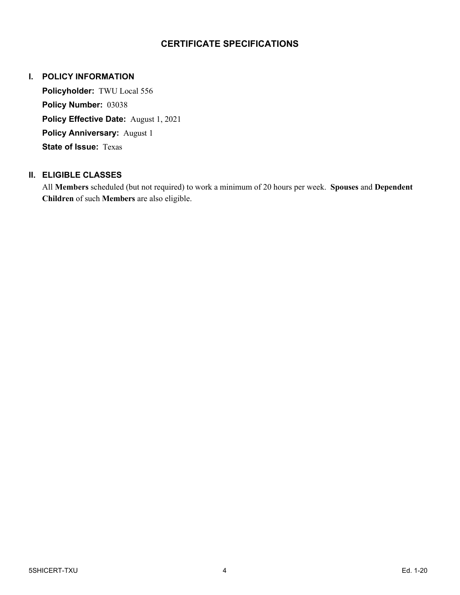### **CERTIFICATE SPECIFICATIONS**

#### <span id="page-3-0"></span>**I. POLICY INFORMATION**

**Policyholder:** TWU Local 556 **Policy Number:** 03038 **Policy Effective Date:** August 1, 2021 **Policy Anniversary:** August 1 **State of Issue:** Texas

#### **II. ELIGIBLE CLASSES**

All **Members** scheduled (but not required) to work a minimum of 20 hours per week. **Spouses** and **Dependent Children** of such **Members** are also eligible.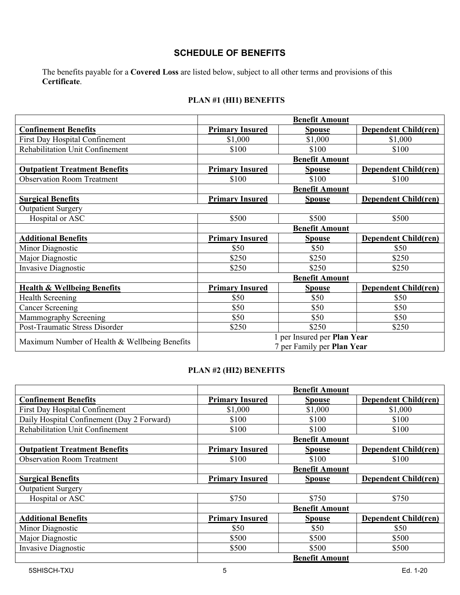# **SCHEDULE OF BENEFITS**

<span id="page-4-0"></span>The benefits payable for a **Covered Loss** are listed below, subject to all other terms and provisions of this **Certificate**.

# **PLAN #1 (HI1) BENEFITS**

|                                               |                            | <b>Benefit Amount</b>       |                             |
|-----------------------------------------------|----------------------------|-----------------------------|-----------------------------|
| <b>Confinement Benefits</b>                   | <b>Primary Insured</b>     | <b>Spouse</b>               | <b>Dependent Child(ren)</b> |
| First Day Hospital Confinement                | \$1,000                    | \$1,000                     | \$1,000                     |
| Rehabilitation Unit Confinement               | \$100                      | \$100                       | \$100                       |
|                                               |                            | <b>Benefit Amount</b>       |                             |
| <b>Outpatient Treatment Benefits</b>          | <b>Primary Insured</b>     | <b>Spouse</b>               | <b>Dependent Child(ren)</b> |
| <b>Observation Room Treatment</b>             | \$100                      | \$100                       | \$100                       |
|                                               |                            | <b>Benefit Amount</b>       |                             |
| <b>Surgical Benefits</b>                      | <b>Primary Insured</b>     | <b>Spouse</b>               | <b>Dependent Child(ren)</b> |
| <b>Outpatient Surgery</b>                     |                            |                             |                             |
| Hospital or ASC                               | \$500                      | \$500                       | \$500                       |
|                                               |                            | <b>Benefit Amount</b>       |                             |
| <b>Additional Benefits</b>                    | <b>Primary Insured</b>     | <b>Spouse</b>               | <b>Dependent Child(ren)</b> |
| Minor Diagnostic                              | \$50                       | \$50                        | \$50                        |
| Major Diagnostic                              | \$250                      | \$250                       | \$250                       |
| <b>Invasive Diagnostic</b>                    | \$250                      | \$250                       | \$250                       |
|                                               | <b>Benefit Amount</b>      |                             |                             |
| <b>Health &amp; Wellbeing Benefits</b>        | <b>Primary Insured</b>     | <b>Spouse</b>               | <b>Dependent Child(ren)</b> |
| <b>Health Screening</b>                       | \$50                       | \$50                        | \$50                        |
| <b>Cancer Screening</b>                       | \$50                       | \$50                        | \$50                        |
| Mammography Screening                         | \$50                       | \$50                        | \$50                        |
| Post-Traumatic Stress Disorder                | \$250                      | \$250                       | \$250                       |
|                                               |                            | 1 per Insured per Plan Year |                             |
| Maximum Number of Health & Wellbeing Benefits | 7 per Family per Plan Year |                             |                             |

#### **PLAN #2 (HI2) BENEFITS**

|                                            |                        | <b>Benefit Amount</b> |                             |
|--------------------------------------------|------------------------|-----------------------|-----------------------------|
| <b>Confinement Benefits</b>                | <b>Primary Insured</b> | <b>Spouse</b>         | <b>Dependent Child(ren)</b> |
| First Day Hospital Confinement             | \$1,000                | \$1,000               | \$1,000                     |
| Daily Hospital Confinement (Day 2 Forward) | \$100                  | \$100                 | \$100                       |
| <b>Rehabilitation Unit Confinement</b>     | \$100                  | \$100                 | \$100                       |
|                                            |                        | <b>Benefit Amount</b> |                             |
| <b>Outpatient Treatment Benefits</b>       | <b>Primary Insured</b> | <b>Spouse</b>         | <b>Dependent Child(ren)</b> |
| <b>Observation Room Treatment</b>          | \$100                  | \$100                 | \$100                       |
|                                            |                        | <b>Benefit Amount</b> |                             |
| <b>Surgical Benefits</b>                   | <b>Primary Insured</b> | <b>Spouse</b>         | <b>Dependent Child(ren)</b> |
| <b>Outpatient Surgery</b>                  |                        |                       |                             |
| Hospital or ASC                            | \$750                  | \$750                 | \$750                       |
|                                            |                        | <b>Benefit Amount</b> |                             |
| <b>Additional Benefits</b>                 | <b>Primary Insured</b> | <b>Spouse</b>         | <b>Dependent Child(ren)</b> |
| Minor Diagnostic                           | \$50                   | \$50                  | \$50                        |
| Major Diagnostic                           | \$500                  | \$500                 | \$500                       |
| Invasive Diagnostic                        | \$500                  | \$500                 | \$500                       |
|                                            |                        | <b>Benefit Amount</b> |                             |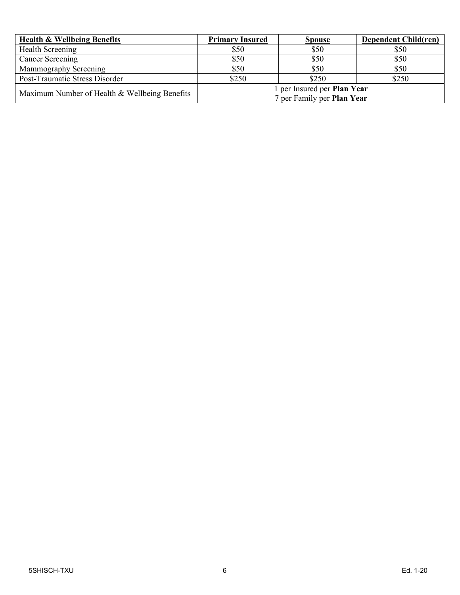| <b>Health &amp; Wellbeing Benefits</b>        | <b>Primary Insured</b>                                    | <b>Spouse</b> | <b>Dependent Child(ren)</b> |
|-----------------------------------------------|-----------------------------------------------------------|---------------|-----------------------------|
| Health Screening                              | \$50                                                      | \$50          | \$50                        |
| Cancer Screening                              | \$50                                                      | \$50          | \$50                        |
| Mammography Screening                         | \$50                                                      | \$50          | \$50                        |
| Post-Traumatic Stress Disorder                | \$250                                                     | \$250         | \$250                       |
| Maximum Number of Health & Wellbeing Benefits | 1 per Insured per Plan Year<br>7 per Family per Plan Year |               |                             |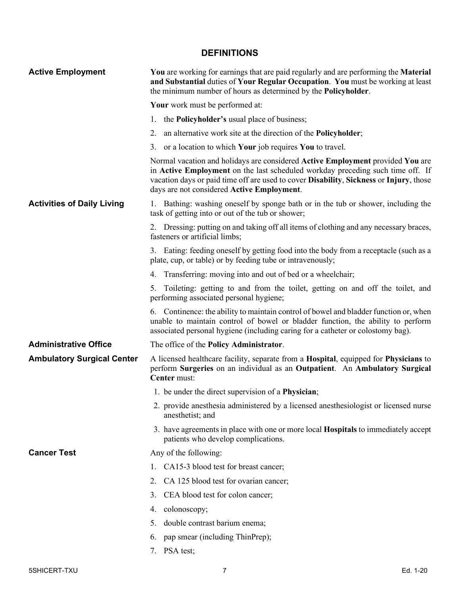# **DEFINITIONS**

<span id="page-6-0"></span>

| <b>Active Employment</b>          | You are working for earnings that are paid regularly and are performing the Material<br>and Substantial duties of Your Regular Occupation. You must be working at least<br>the minimum number of hours as determined by the <b>Policyholder</b> .                                                        |
|-----------------------------------|----------------------------------------------------------------------------------------------------------------------------------------------------------------------------------------------------------------------------------------------------------------------------------------------------------|
|                                   | Your work must be performed at:                                                                                                                                                                                                                                                                          |
|                                   | 1. the <b>Policyholder's</b> usual place of business;                                                                                                                                                                                                                                                    |
|                                   | 2. an alternative work site at the direction of the <b>Policyholder</b> ;                                                                                                                                                                                                                                |
|                                   | 3. or a location to which <b>Your</b> job requires <b>You</b> to travel.                                                                                                                                                                                                                                 |
|                                   | Normal vacation and holidays are considered Active Employment provided You are<br>in Active Employment on the last scheduled workday preceding such time off. If<br>vacation days or paid time off are used to cover Disability, Sickness or Injury, those<br>days are not considered Active Employment. |
| <b>Activities of Daily Living</b> | 1. Bathing: washing oneself by sponge bath or in the tub or shower, including the<br>task of getting into or out of the tub or shower;                                                                                                                                                                   |
|                                   | 2. Dressing: putting on and taking off all items of clothing and any necessary braces,<br>fasteners or artificial limbs;                                                                                                                                                                                 |
|                                   | 3. Eating: feeding oneself by getting food into the body from a receptacle (such as a<br>plate, cup, or table) or by feeding tube or intravenously;                                                                                                                                                      |
|                                   | 4. Transferring: moving into and out of bed or a wheelchair;                                                                                                                                                                                                                                             |
|                                   | 5. Toileting: getting to and from the toilet, getting on and off the toilet, and<br>performing associated personal hygiene;                                                                                                                                                                              |
|                                   | 6. Continence: the ability to maintain control of bowel and bladder function or, when<br>unable to maintain control of bowel or bladder function, the ability to perform<br>associated personal hygiene (including caring for a catheter or colostomy bag).                                              |
| <b>Administrative Office</b>      | The office of the <b>Policy Administrator</b> .                                                                                                                                                                                                                                                          |
| <b>Ambulatory Surgical Center</b> | A licensed healthcare facility, separate from a Hospital, equipped for Physicians to<br>perform Surgeries on an individual as an Outpatient. An Ambulatory Surgical<br>Center must:                                                                                                                      |
|                                   | 1. be under the direct supervision of a <b>Physician</b> ;                                                                                                                                                                                                                                               |
|                                   | 2. provide anesthesia administered by a licensed anesthesiologist or licensed nurse<br>anesthetist; and                                                                                                                                                                                                  |
|                                   | 3. have agreements in place with one or more local <b>Hospitals</b> to immediately accept<br>patients who develop complications.                                                                                                                                                                         |
| <b>Cancer Test</b>                | Any of the following:                                                                                                                                                                                                                                                                                    |
|                                   | 1. CA15-3 blood test for breast cancer;                                                                                                                                                                                                                                                                  |
|                                   | 2. CA 125 blood test for ovarian cancer;                                                                                                                                                                                                                                                                 |
|                                   | CEA blood test for colon cancer;<br>3.                                                                                                                                                                                                                                                                   |
|                                   | 4. colonoscopy;                                                                                                                                                                                                                                                                                          |
|                                   | double contrast barium enema;<br>5.                                                                                                                                                                                                                                                                      |
|                                   | pap smear (including ThinPrep);<br>6.                                                                                                                                                                                                                                                                    |
|                                   | PSA test;<br>7.                                                                                                                                                                                                                                                                                          |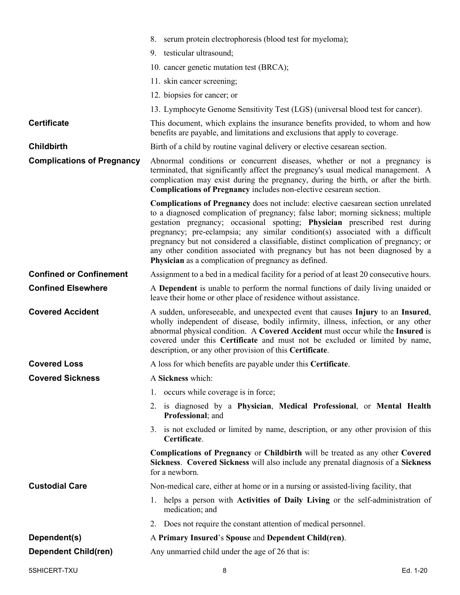|                                   | 8. serum protein electrophoresis (blood test for myeloma);                                                                                                                                                                                                                                                                                                                                                                                                                                                                                                                    |
|-----------------------------------|-------------------------------------------------------------------------------------------------------------------------------------------------------------------------------------------------------------------------------------------------------------------------------------------------------------------------------------------------------------------------------------------------------------------------------------------------------------------------------------------------------------------------------------------------------------------------------|
|                                   | 9. testicular ultrasound;                                                                                                                                                                                                                                                                                                                                                                                                                                                                                                                                                     |
|                                   | 10. cancer genetic mutation test (BRCA);                                                                                                                                                                                                                                                                                                                                                                                                                                                                                                                                      |
|                                   | 11. skin cancer screening;                                                                                                                                                                                                                                                                                                                                                                                                                                                                                                                                                    |
|                                   | 12. biopsies for cancer; or                                                                                                                                                                                                                                                                                                                                                                                                                                                                                                                                                   |
|                                   | 13. Lymphocyte Genome Sensitivity Test (LGS) (universal blood test for cancer).                                                                                                                                                                                                                                                                                                                                                                                                                                                                                               |
| <b>Certificate</b>                | This document, which explains the insurance benefits provided, to whom and how<br>benefits are payable, and limitations and exclusions that apply to coverage.                                                                                                                                                                                                                                                                                                                                                                                                                |
| <b>Childbirth</b>                 | Birth of a child by routine vaginal delivery or elective cesarean section.                                                                                                                                                                                                                                                                                                                                                                                                                                                                                                    |
| <b>Complications of Pregnancy</b> | Abnormal conditions or concurrent diseases, whether or not a pregnancy is<br>terminated, that significantly affect the pregnancy's usual medical management. A<br>complication may exist during the pregnancy, during the birth, or after the birth.<br>Complications of Pregnancy includes non-elective cesarean section.                                                                                                                                                                                                                                                    |
|                                   | <b>Complications of Pregnancy</b> does not include: elective caesarean section unrelated<br>to a diagnosed complication of pregnancy; false labor; morning sickness; multiple<br>gestation pregnancy; occasional spotting; Physician prescribed rest during<br>pregnancy; pre-eclampsia; any similar condition(s) associated with a difficult<br>pregnancy but not considered a classifiable, distinct complication of pregnancy; or<br>any other condition associated with pregnancy but has not been diagnosed by a<br>Physician as a complication of pregnancy as defined. |
| <b>Confined or Confinement</b>    | Assignment to a bed in a medical facility for a period of at least 20 consecutive hours.                                                                                                                                                                                                                                                                                                                                                                                                                                                                                      |
| <b>Confined Elsewhere</b>         | A Dependent is unable to perform the normal functions of daily living unaided or<br>leave their home or other place of residence without assistance.                                                                                                                                                                                                                                                                                                                                                                                                                          |
| <b>Covered Accident</b>           | A sudden, unforeseeable, and unexpected event that causes Injury to an Insured,<br>wholly independent of disease, bodily infirmity, illness, infection, or any other<br>abnormal physical condition. A Covered Accident must occur while the Insured is<br>covered under this Certificate and must not be excluded or limited by name,<br>description, or any other provision of this Certificate.                                                                                                                                                                            |
| <b>Covered Loss</b>               | A loss for which benefits are payable under this Certificate.                                                                                                                                                                                                                                                                                                                                                                                                                                                                                                                 |
| <b>Covered Sickness</b>           | A Sickness which:                                                                                                                                                                                                                                                                                                                                                                                                                                                                                                                                                             |
|                                   | 1. occurs while coverage is in force;                                                                                                                                                                                                                                                                                                                                                                                                                                                                                                                                         |
|                                   | 2. is diagnosed by a Physician, Medical Professional, or Mental Health<br>Professional; and                                                                                                                                                                                                                                                                                                                                                                                                                                                                                   |
|                                   | 3. is not excluded or limited by name, description, or any other provision of this<br>Certificate.                                                                                                                                                                                                                                                                                                                                                                                                                                                                            |
|                                   | <b>Complications of Pregnancy or Childbirth will be treated as any other Covered</b><br>Sickness. Covered Sickness will also include any prenatal diagnosis of a Sickness<br>for a newborn.                                                                                                                                                                                                                                                                                                                                                                                   |
| <b>Custodial Care</b>             | Non-medical care, either at home or in a nursing or assisted-living facility, that                                                                                                                                                                                                                                                                                                                                                                                                                                                                                            |
|                                   | 1. helps a person with Activities of Daily Living or the self-administration of<br>medication; and                                                                                                                                                                                                                                                                                                                                                                                                                                                                            |
|                                   | 2. Does not require the constant attention of medical personnel.                                                                                                                                                                                                                                                                                                                                                                                                                                                                                                              |
| Dependent(s)                      | A Primary Insured's Spouse and Dependent Child(ren).                                                                                                                                                                                                                                                                                                                                                                                                                                                                                                                          |
| <b>Dependent Child(ren)</b>       | Any unmarried child under the age of 26 that is:                                                                                                                                                                                                                                                                                                                                                                                                                                                                                                                              |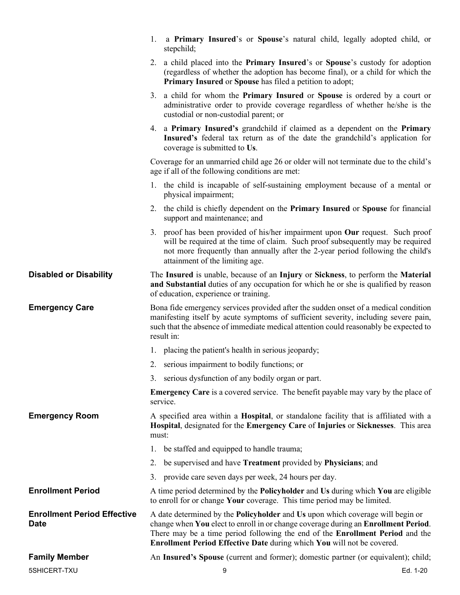|                                                   | a Primary Insured's or Spouse's natural child, legally adopted child, or<br>1.<br>stepchild;                                                                                                                                                                                                                                           |
|---------------------------------------------------|----------------------------------------------------------------------------------------------------------------------------------------------------------------------------------------------------------------------------------------------------------------------------------------------------------------------------------------|
|                                                   | 2. a child placed into the <b>Primary Insured</b> 's or <b>Spouse</b> 's custody for adoption<br>(regardless of whether the adoption has become final), or a child for which the<br>Primary Insured or Spouse has filed a petition to adopt;                                                                                           |
|                                                   | 3. a child for whom the Primary Insured or Spouse is ordered by a court or<br>administrative order to provide coverage regardless of whether he/she is the<br>custodial or non-custodial parent; or                                                                                                                                    |
|                                                   | 4. a Primary Insured's grandchild if claimed as a dependent on the Primary<br>Insured's federal tax return as of the date the grandchild's application for<br>coverage is submitted to Us.                                                                                                                                             |
|                                                   | Coverage for an unmarried child age 26 or older will not terminate due to the child's<br>age if all of the following conditions are met:                                                                                                                                                                                               |
|                                                   | 1. the child is incapable of self-sustaining employment because of a mental or<br>physical impairment;                                                                                                                                                                                                                                 |
|                                                   | 2. the child is chiefly dependent on the Primary Insured or Spouse for financial<br>support and maintenance; and                                                                                                                                                                                                                       |
|                                                   | 3. proof has been provided of his/her impairment upon Our request. Such proof<br>will be required at the time of claim. Such proof subsequently may be required<br>not more frequently than annually after the 2-year period following the child's<br>attainment of the limiting age.                                                  |
| <b>Disabled or Disability</b>                     | The Insured is unable, because of an Injury or Sickness, to perform the Material<br>and Substantial duties of any occupation for which he or she is qualified by reason<br>of education, experience or training.                                                                                                                       |
| <b>Emergency Care</b>                             | Bona fide emergency services provided after the sudden onset of a medical condition<br>manifesting itself by acute symptoms of sufficient severity, including severe pain,<br>such that the absence of immediate medical attention could reasonably be expected to<br>result in:                                                       |
|                                                   | 1. placing the patient's health in serious jeopardy;                                                                                                                                                                                                                                                                                   |
|                                                   | 2. serious impairment to bodily functions; or                                                                                                                                                                                                                                                                                          |
|                                                   | 3. serious dysfunction of any bodily organ or part.                                                                                                                                                                                                                                                                                    |
|                                                   | <b>Emergency Care</b> is a covered service. The benefit payable may vary by the place of<br>service.                                                                                                                                                                                                                                   |
| <b>Emergency Room</b>                             | A specified area within a Hospital, or standalone facility that is affiliated with a<br>Hospital, designated for the Emergency Care of Injuries or Sicknesses. This area<br>must:                                                                                                                                                      |
|                                                   | 1. be staffed and equipped to handle trauma;                                                                                                                                                                                                                                                                                           |
|                                                   | 2. be supervised and have <b>Treatment</b> provided by <b>Physicians</b> ; and                                                                                                                                                                                                                                                         |
|                                                   | 3. provide care seven days per week, 24 hours per day.                                                                                                                                                                                                                                                                                 |
| <b>Enrollment Period</b>                          | A time period determined by the Policyholder and Us during which You are eligible<br>to enroll for or change Your coverage. This time period may be limited.                                                                                                                                                                           |
| <b>Enrollment Period Effective</b><br><b>Date</b> | A date determined by the <b>Policyholder</b> and Us upon which coverage will begin or<br>change when You elect to enroll in or change coverage during an Enrollment Period.<br>There may be a time period following the end of the Enrollment Period and the<br>Enrollment Period Effective Date during which You will not be covered. |
| <b>Family Member</b>                              | An Insured's Spouse (current and former); domestic partner (or equivalent); child;                                                                                                                                                                                                                                                     |
| 5SHICERT-TXU                                      | 9<br>Ed. 1-20                                                                                                                                                                                                                                                                                                                          |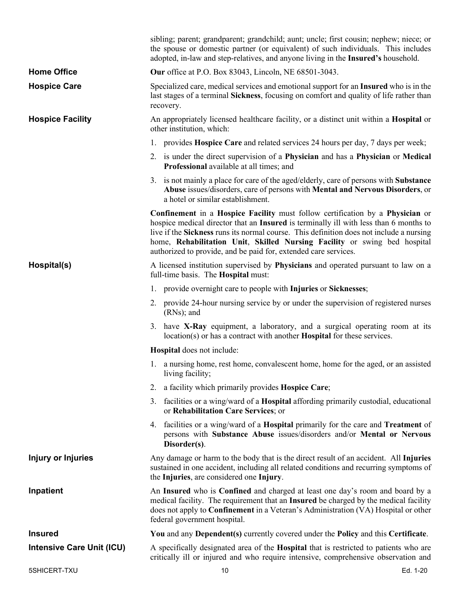|                                  | sibling; parent; grandparent; grandchild; aunt; uncle; first cousin; nephew; niece; or<br>the spouse or domestic partner (or equivalent) of such individuals. This includes<br>adopted, in-law and step-relatives, and anyone living in the Insured's household.                                                                                                                                                  |
|----------------------------------|-------------------------------------------------------------------------------------------------------------------------------------------------------------------------------------------------------------------------------------------------------------------------------------------------------------------------------------------------------------------------------------------------------------------|
| <b>Home Office</b>               | <b>Our</b> office at P.O. Box 83043, Lincoln, NE 68501-3043.                                                                                                                                                                                                                                                                                                                                                      |
| <b>Hospice Care</b>              | Specialized care, medical services and emotional support for an Insured who is in the<br>last stages of a terminal Sickness, focusing on comfort and quality of life rather than<br>recovery.                                                                                                                                                                                                                     |
| <b>Hospice Facility</b>          | An appropriately licensed healthcare facility, or a distinct unit within a <b>Hospital</b> or<br>other institution, which:                                                                                                                                                                                                                                                                                        |
|                                  | 1. provides <b>Hospice Care</b> and related services 24 hours per day, 7 days per week;                                                                                                                                                                                                                                                                                                                           |
|                                  | 2. is under the direct supervision of a Physician and has a Physician or Medical<br>Professional available at all times; and                                                                                                                                                                                                                                                                                      |
|                                  | 3. is not mainly a place for care of the aged/elderly, care of persons with <b>Substance</b><br>Abuse issues/disorders, care of persons with Mental and Nervous Disorders, or<br>a hotel or similar establishment.                                                                                                                                                                                                |
|                                  | Confinement in a Hospice Facility must follow certification by a Physician or<br>hospice medical director that an Insured is terminally ill with less than 6 months to<br>live if the Sickness runs its normal course. This definition does not include a nursing<br>home, Rehabilitation Unit, Skilled Nursing Facility or swing bed hospital<br>authorized to provide, and be paid for, extended care services. |
| Hospital(s)                      | A licensed institution supervised by Physicians and operated pursuant to law on a<br>full-time basis. The <b>Hospital</b> must:                                                                                                                                                                                                                                                                                   |
|                                  | 1. provide overnight care to people with Injuries or Sicknesses;                                                                                                                                                                                                                                                                                                                                                  |
|                                  | 2. provide 24-hour nursing service by or under the supervision of registered nurses<br>$(RNs)$ ; and                                                                                                                                                                                                                                                                                                              |
|                                  | 3. have X-Ray equipment, a laboratory, and a surgical operating room at its<br>location(s) or has a contract with another <b>Hospital</b> for these services.                                                                                                                                                                                                                                                     |
|                                  | <b>Hospital</b> does not include:                                                                                                                                                                                                                                                                                                                                                                                 |
|                                  | 1. a nursing home, rest home, convalescent home, home for the aged, or an assisted<br>living facility;                                                                                                                                                                                                                                                                                                            |
|                                  | 2. a facility which primarily provides <b>Hospice Care</b> ;                                                                                                                                                                                                                                                                                                                                                      |
|                                  | 3. facilities or a wing/ward of a <b>Hospital</b> affording primarily custodial, educational<br>or Rehabilitation Care Services; or                                                                                                                                                                                                                                                                               |
|                                  | 4. facilities or a wing/ward of a <b>Hospital</b> primarily for the care and <b>Treatment</b> of<br>persons with Substance Abuse issues/disorders and/or Mental or Nervous<br>Disorder(s).                                                                                                                                                                                                                        |
| Injury or Injuries               | Any damage or harm to the body that is the direct result of an accident. All Injuries<br>sustained in one accident, including all related conditions and recurring symptoms of<br>the Injuries, are considered one Injury.                                                                                                                                                                                        |
| Inpatient                        | An Insured who is Confined and charged at least one day's room and board by a<br>medical facility. The requirement that an Insured be charged by the medical facility<br>does not apply to Confinement in a Veteran's Administration (VA) Hospital or other<br>federal government hospital.                                                                                                                       |
| <b>Insured</b>                   | You and any Dependent(s) currently covered under the Policy and this Certificate.                                                                                                                                                                                                                                                                                                                                 |
| <b>Intensive Care Unit (ICU)</b> | A specifically designated area of the Hospital that is restricted to patients who are<br>critically ill or injured and who require intensive, comprehensive observation and                                                                                                                                                                                                                                       |
| 5SHICERT-TXU                     | Ed. 1-20<br>10                                                                                                                                                                                                                                                                                                                                                                                                    |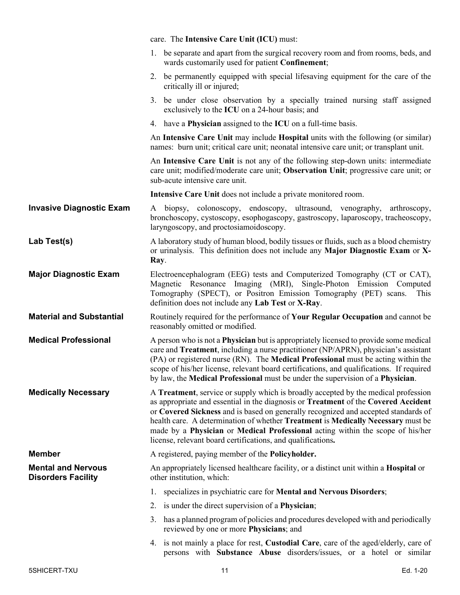|                                                        | care. The Intensive Care Unit (ICU) must:                                                                                                                                                                                                                                                                                                                                                                                                                                                           |
|--------------------------------------------------------|-----------------------------------------------------------------------------------------------------------------------------------------------------------------------------------------------------------------------------------------------------------------------------------------------------------------------------------------------------------------------------------------------------------------------------------------------------------------------------------------------------|
|                                                        | 1. be separate and apart from the surgical recovery room and from rooms, beds, and<br>wards customarily used for patient Confinement;                                                                                                                                                                                                                                                                                                                                                               |
|                                                        | 2. be permanently equipped with special lifesaving equipment for the care of the<br>critically ill or injured;                                                                                                                                                                                                                                                                                                                                                                                      |
|                                                        | be under close observation by a specially trained nursing staff assigned<br>3.<br>exclusively to the ICU on a 24-hour basis; and                                                                                                                                                                                                                                                                                                                                                                    |
|                                                        | 4. have a <b>Physician</b> assigned to the <b>ICU</b> on a full-time basis.                                                                                                                                                                                                                                                                                                                                                                                                                         |
|                                                        | An Intensive Care Unit may include Hospital units with the following (or similar)<br>names: burn unit; critical care unit; neonatal intensive care unit; or transplant unit.                                                                                                                                                                                                                                                                                                                        |
|                                                        | An Intensive Care Unit is not any of the following step-down units: intermediate<br>care unit; modified/moderate care unit; Observation Unit; progressive care unit; or<br>sub-acute intensive care unit.                                                                                                                                                                                                                                                                                           |
|                                                        | Intensive Care Unit does not include a private monitored room.                                                                                                                                                                                                                                                                                                                                                                                                                                      |
| <b>Invasive Diagnostic Exam</b>                        | A biopsy, colonoscopy, endoscopy, ultrasound, venography,<br>arthroscopy,<br>bronchoscopy, cystoscopy, esophogascopy, gastroscopy, laparoscopy, tracheoscopy,<br>laryngoscopy, and proctosiamoidoscopy.                                                                                                                                                                                                                                                                                             |
| Lab Test(s)                                            | A laboratory study of human blood, bodily tissues or fluids, such as a blood chemistry<br>or urinalysis. This definition does not include any Major Diagnostic Exam or X-<br>Ray.                                                                                                                                                                                                                                                                                                                   |
| <b>Major Diagnostic Exam</b>                           | Electroencephalogram (EEG) tests and Computerized Tomography (CT or CAT),<br>Magnetic Resonance Imaging (MRI), Single-Photon Emission Computed<br>Tomography (SPECT), or Positron Emission Tomography (PET) scans.<br>This<br>definition does not include any Lab Test or X-Ray.                                                                                                                                                                                                                    |
| <b>Material and Substantial</b>                        | Routinely required for the performance of Your Regular Occupation and cannot be<br>reasonably omitted or modified.                                                                                                                                                                                                                                                                                                                                                                                  |
| <b>Medical Professional</b>                            | A person who is not a <b>Physician</b> but is appropriately licensed to provide some medical<br>care and Treatment, including a nurse practitioner (NP/APRN), physician's assistant<br>(PA) or registered nurse (RN). The Medical Professional must be acting within the<br>scope of his/her license, relevant board certifications, and qualifications. If required<br>by law, the Medical Professional must be under the supervision of a Physician.                                              |
| <b>Medically Necessary</b>                             | A Treatment, service or supply which is broadly accepted by the medical profession<br>as appropriate and essential in the diagnosis or Treatment of the Covered Accident<br>or Covered Sickness and is based on generally recognized and accepted standards of<br>health care. A determination of whether Treatment is Medically Necessary must be<br>made by a Physician or Medical Professional acting within the scope of his/her<br>license, relevant board certifications, and qualifications. |
| <b>Member</b>                                          | A registered, paying member of the <b>Policyholder.</b>                                                                                                                                                                                                                                                                                                                                                                                                                                             |
| <b>Mental and Nervous</b><br><b>Disorders Facility</b> | An appropriately licensed healthcare facility, or a distinct unit within a Hospital or<br>other institution, which:                                                                                                                                                                                                                                                                                                                                                                                 |
|                                                        | specializes in psychiatric care for Mental and Nervous Disorders;<br>1.                                                                                                                                                                                                                                                                                                                                                                                                                             |
|                                                        | 2. is under the direct supervision of a <b>Physician</b> ;                                                                                                                                                                                                                                                                                                                                                                                                                                          |
|                                                        | has a planned program of policies and procedures developed with and periodically<br>3.<br>reviewed by one or more Physicians; and                                                                                                                                                                                                                                                                                                                                                                   |
|                                                        | 4. is not mainly a place for rest, <b>Custodial Care</b> , care of the aged/elderly, care of<br>persons with Substance Abuse disorders/issues, or a hotel or similar                                                                                                                                                                                                                                                                                                                                |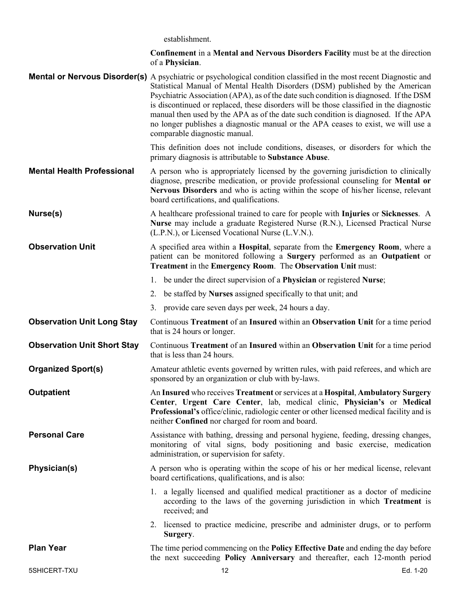establishment.

| <b>Confinement</b> in a Mental and Nervous Disorders Facility must be at the direction |  |
|----------------------------------------------------------------------------------------|--|
| of a <b>Physician</b> .                                                                |  |

**Mental or Nervous Disorder(s)** A psychiatric or psychological condition classified in the most recent Diagnostic and Statistical Manual of Mental Health Disorders (DSM) published by the American Psychiatric Association (APA), as of the date such condition is diagnosed. If the DSM is discontinued or replaced, these disorders will be those classified in the diagnostic manual then used by the APA as of the date such condition is diagnosed. If the APA no longer publishes a diagnostic manual or the APA ceases to exist, we will use a comparable diagnostic manual.

> This definition does not include conditions, diseases, or disorders for which the primary diagnosis is attributable to **Substance Abuse**.

**Mental Health Professional** A person who is appropriately licensed by the governing jurisdiction to clinically diagnose, prescribe medication, or provide professional counseling for **Mental or Nervous Disorders** and who is acting within the scope of his/her license, relevant board certifications, and qualifications.

**Nurse(s)** A healthcare professional trained to care for people with **Injuries** or **Sicknesses**. A **Nurse** may include a graduate Registered Nurse (R.N.), Licensed Practical Nurse (L.P.N.), or Licensed Vocational Nurse (L.V.N.).

**Observation Unit** A specified area within a **Hospital**, separate from the **Emergency Room**, where a patient can be monitored following a **Surgery** performed as an **Outpatient** or **Treatment** in the **Emergency Room**. The **Observation Unit** must:

- 1. be under the direct supervision of a **Physician** or registered **Nurse**;
- 2. be staffed by **Nurses** assigned specifically to that unit; and
- 3. provide care seven days per week, 24 hours a day.
- **Observation Unit Long Stay** Continuous **Treatment** of an **Insured** within an **Observation Unit** for a time period that is 24 hours or longer.
- **Observation Unit Short Stay** Continuous **Treatment** of an **Insured** within an **Observation Unit** for a time period that is less than 24 hours.

**Organized Sport(s)** Amateur athletic events governed by written rules, with paid referees, and which are sponsored by an organization or club with by-laws.

**Outpatient** An **Insured** who receives **Treatment** or services at a **Hospital**, **Ambulatory Surgery Center**, **Urgent Care Center**, lab, medical clinic, **Physician's** or **Medical Professional's** office/clinic, radiologic center or other licensed medical facility and is neither **Confined** nor charged for room and board.

**Personal Care** Assistance with bathing, dressing and personal hygiene, feeding, dressing changes, monitoring of vital signs, body positioning and basic exercise, medication administration, or supervision for safety.

**Physician(s)** A person who is operating within the scope of his or her medical license, relevant board certifications, qualifications, and is also:

> 1. a legally licensed and qualified medical practitioner as a doctor of medicine according to the laws of the governing jurisdiction in which **Treatment** is received; and

2. licensed to practice medicine, prescribe and administer drugs, or to perform **Surgery**.

**Plan Year** The time period commencing on the **Policy Effective Date** and ending the day before the next succeeding **Policy Anniversary** and thereafter, each 12-month period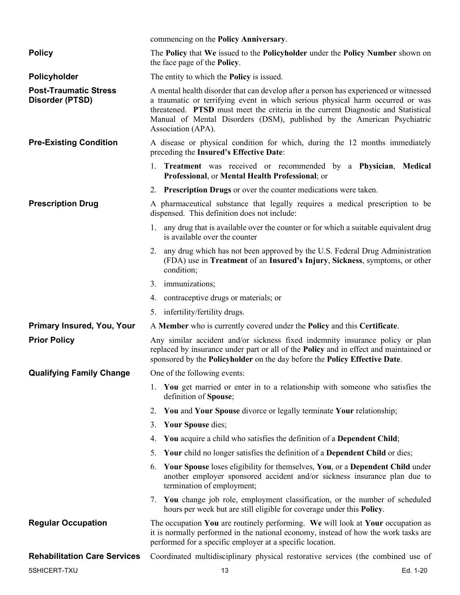|                                                 | commencing on the Policy Anniversary.                                                                                                                                                                                                                                                                                                                         |
|-------------------------------------------------|---------------------------------------------------------------------------------------------------------------------------------------------------------------------------------------------------------------------------------------------------------------------------------------------------------------------------------------------------------------|
| <b>Policy</b>                                   | The Policy that We issued to the Policyholder under the Policy Number shown on<br>the face page of the <b>Policy</b> .                                                                                                                                                                                                                                        |
| Policyholder                                    | The entity to which the <b>Policy</b> is issued.                                                                                                                                                                                                                                                                                                              |
| <b>Post-Traumatic Stress</b><br>Disorder (PTSD) | A mental health disorder that can develop after a person has experienced or witnessed<br>a traumatic or terrifying event in which serious physical harm occurred or was<br>threatened. PTSD must meet the criteria in the current Diagnostic and Statistical<br>Manual of Mental Disorders (DSM), published by the American Psychiatric<br>Association (APA). |
| <b>Pre-Existing Condition</b>                   | A disease or physical condition for which, during the 12 months immediately<br>preceding the Insured's Effective Date:                                                                                                                                                                                                                                        |
|                                                 | 1. Treatment was received or recommended by a Physician, Medical<br>Professional, or Mental Health Professional; or                                                                                                                                                                                                                                           |
|                                                 | 2. Prescription Drugs or over the counter medications were taken.                                                                                                                                                                                                                                                                                             |
| <b>Prescription Drug</b>                        | A pharmaceutical substance that legally requires a medical prescription to be<br>dispensed. This definition does not include:                                                                                                                                                                                                                                 |
|                                                 | 1. any drug that is available over the counter or for which a suitable equivalent drug<br>is available over the counter                                                                                                                                                                                                                                       |
|                                                 | 2. any drug which has not been approved by the U.S. Federal Drug Administration<br>(FDA) use in Treatment of an Insured's Injury, Sickness, symptoms, or other<br>condition;                                                                                                                                                                                  |
|                                                 | 3. immunizations;                                                                                                                                                                                                                                                                                                                                             |
|                                                 | 4. contraceptive drugs or materials; or                                                                                                                                                                                                                                                                                                                       |
|                                                 | 5. infertility/fertility drugs.                                                                                                                                                                                                                                                                                                                               |
| <b>Primary Insured, You, Your</b>               | A Member who is currently covered under the Policy and this Certificate.                                                                                                                                                                                                                                                                                      |
| <b>Prior Policy</b>                             | Any similar accident and/or sickness fixed indemnity insurance policy or plan<br>replaced by insurance under part or all of the Policy and in effect and maintained or<br>sponsored by the Policyholder on the day before the Policy Effective Date.                                                                                                          |
| <b>Qualifying Family Change</b>                 | One of the following events:                                                                                                                                                                                                                                                                                                                                  |
|                                                 | 1. You get married or enter in to a relationship with someone who satisfies the<br>definition of Spouse;                                                                                                                                                                                                                                                      |
|                                                 | 2. You and Your Spouse divorce or legally terminate Your relationship;                                                                                                                                                                                                                                                                                        |
|                                                 | Your Spouse dies;<br>3.                                                                                                                                                                                                                                                                                                                                       |
|                                                 | You acquire a child who satisfies the definition of a Dependent Child;<br>4.                                                                                                                                                                                                                                                                                  |
|                                                 | Your child no longer satisfies the definition of a Dependent Child or dies;<br>5.                                                                                                                                                                                                                                                                             |
|                                                 | Your Spouse loses eligibility for themselves, You, or a Dependent Child under<br>6.<br>another employer sponsored accident and/or sickness insurance plan due to<br>termination of employment;                                                                                                                                                                |
|                                                 | 7. You change job role, employment classification, or the number of scheduled<br>hours per week but are still eligible for coverage under this <b>Policy</b> .                                                                                                                                                                                                |
| <b>Regular Occupation</b>                       | The occupation You are routinely performing. We will look at Your occupation as<br>it is normally performed in the national economy, instead of how the work tasks are<br>performed for a specific employer at a specific location.                                                                                                                           |
| <b>Rehabilitation Care Services</b>             | Coordinated multidisciplinary physical restorative services (the combined use of                                                                                                                                                                                                                                                                              |
| 5SHICERT-TXU                                    | 13<br>Ed. 1-20                                                                                                                                                                                                                                                                                                                                                |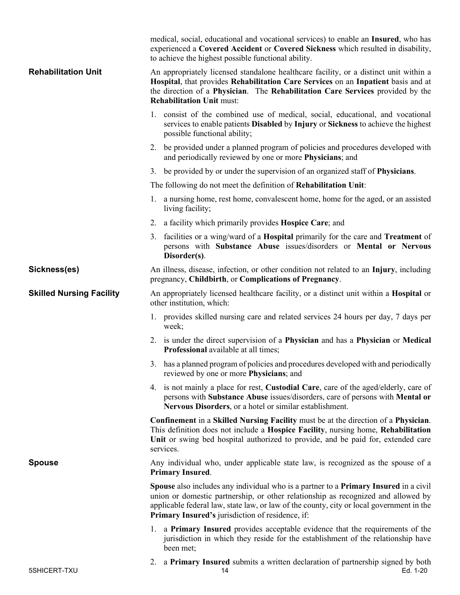|                                 | medical, social, educational and vocational services) to enable an <b>Insured</b> , who has<br>experienced a Covered Accident or Covered Sickness which resulted in disability,<br>to achieve the highest possible functional ability.                                                                                           |
|---------------------------------|----------------------------------------------------------------------------------------------------------------------------------------------------------------------------------------------------------------------------------------------------------------------------------------------------------------------------------|
| <b>Rehabilitation Unit</b>      | An appropriately licensed standalone healthcare facility, or a distinct unit within a<br>Hospital, that provides Rehabilitation Care Services on an Inpatient basis and at<br>the direction of a Physician. The Rehabilitation Care Services provided by the<br><b>Rehabilitation Unit must:</b>                                 |
|                                 | 1. consist of the combined use of medical, social, educational, and vocational<br>services to enable patients Disabled by Injury or Sickness to achieve the highest<br>possible functional ability;                                                                                                                              |
|                                 | 2. be provided under a planned program of policies and procedures developed with<br>and periodically reviewed by one or more Physicians; and                                                                                                                                                                                     |
|                                 | 3. be provided by or under the supervision of an organized staff of <b>Physicians</b> .                                                                                                                                                                                                                                          |
|                                 | The following do not meet the definition of Rehabilitation Unit:                                                                                                                                                                                                                                                                 |
|                                 | 1. a nursing home, rest home, convalescent home, home for the aged, or an assisted<br>living facility;                                                                                                                                                                                                                           |
|                                 | 2. a facility which primarily provides <b>Hospice Care</b> ; and                                                                                                                                                                                                                                                                 |
|                                 | 3. facilities or a wing/ward of a <b>Hospital</b> primarily for the care and <b>Treatment</b> of<br>persons with Substance Abuse issues/disorders or Mental or Nervous<br>Disorder(s).                                                                                                                                           |
| Sickness(es)                    | An illness, disease, infection, or other condition not related to an Injury, including<br>pregnancy, Childbirth, or Complications of Pregnancy.                                                                                                                                                                                  |
| <b>Skilled Nursing Facility</b> | An appropriately licensed healthcare facility, or a distinct unit within a <b>Hospital</b> or<br>other institution, which:                                                                                                                                                                                                       |
|                                 | 1. provides skilled nursing care and related services 24 hours per day, 7 days per<br>week;                                                                                                                                                                                                                                      |
|                                 | 2. is under the direct supervision of a Physician and has a Physician or Medical<br>Professional available at all times;                                                                                                                                                                                                         |
|                                 | 3. has a planned program of policies and procedures developed with and periodically<br>reviewed by one or more <b>Physicians</b> ; and                                                                                                                                                                                           |
|                                 | 4. is not mainly a place for rest, <b>Custodial Care</b> , care of the aged/elderly, care of<br>persons with Substance Abuse issues/disorders, care of persons with Mental or<br>Nervous Disorders, or a hotel or similar establishment.                                                                                         |
|                                 | Confinement in a Skilled Nursing Facility must be at the direction of a Physician.<br>This definition does not include a Hospice Facility, nursing home, Rehabilitation<br>Unit or swing bed hospital authorized to provide, and be paid for, extended care<br>services.                                                         |
| <b>Spouse</b>                   | Any individual who, under applicable state law, is recognized as the spouse of a<br><b>Primary Insured.</b>                                                                                                                                                                                                                      |
|                                 | Spouse also includes any individual who is a partner to a <b>Primary Insured</b> in a civil<br>union or domestic partnership, or other relationship as recognized and allowed by<br>applicable federal law, state law, or law of the county, city or local government in the<br>Primary Insured's jurisdiction of residence, if: |
|                                 | 1. a <b>Primary Insured</b> provides acceptable evidence that the requirements of the<br>jurisdiction in which they reside for the establishment of the relationship have<br>been met;                                                                                                                                           |
| 5SHICERT-TXU                    | 2. a Primary Insured submits a written declaration of partnership signed by both<br>14<br>Ed. 1-20                                                                                                                                                                                                                               |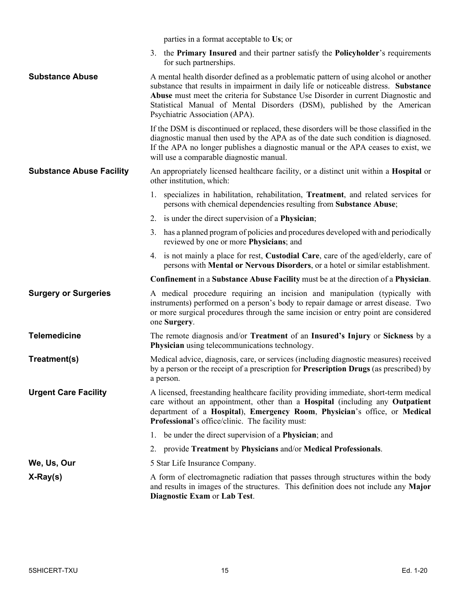|  | parties in a format acceptable to Us; or |  |
|--|------------------------------------------|--|
|  |                                          |  |

3. the **Primary Insured** and their partner satisfy the **Policyholder**'s requirements for such partnerships.

**Substance Abuse** A mental health disorder defined as a problematic pattern of using alcohol or another substance that results in impairment in daily life or noticeable distress. **Substance Abuse** must meet the criteria for Substance Use Disorder in current Diagnostic and Statistical Manual of Mental Disorders (DSM), published by the American Psychiatric Association (APA).

> If the DSM is discontinued or replaced, these disorders will be those classified in the diagnostic manual then used by the APA as of the date such condition is diagnosed. If the APA no longer publishes a diagnostic manual or the APA ceases to exist, we will use a comparable diagnostic manual.

#### **Substance Abuse Facility** An appropriately licensed healthcare facility, or a distinct unit within a **Hospital** or other institution, which:

- 1. specializes in habilitation, rehabilitation, **Treatment**, and related services for persons with chemical dependencies resulting from **Substance Abuse**;
- 2. is under the direct supervision of a **Physician**;
- 3. has a planned program of policies and procedures developed with and periodically reviewed by one or more **Physicians**; and
- 4. is not mainly a place for rest, **Custodial Care**, care of the aged/elderly, care of persons with **Mental or Nervous Disorders**, or a hotel or similar establishment.

**Confinement** in a **Substance Abuse Facility** must be at the direction of a **Physician**.

**Surgery or Surgeries** A medical procedure requiring an incision and manipulation (typically with instruments) performed on a person's body to repair damage or arrest disease. Two or more surgical procedures through the same incision or entry point are considered one **Surgery**.

**Telemedicine** The remote diagnosis and/or **Treatment** of an **Insured's Injury** or **Sickness** by a **Physician** using telecommunications technology.

- **Treatment(s)** Medical advice, diagnosis, care, or services (including diagnostic measures) received by a person or the receipt of a prescription for **Prescription Drugs** (as prescribed) by a person.
- **Urgent Care Facility** A licensed, freestanding healthcare facility providing immediate, short-term medical care without an appointment, other than a **Hospital** (including any **Outpatient** department of a **Hospital**), **Emergency Room**, **Physician**'s office, or **Medical Professional**'s office/clinic. The facility must:
	- 1. be under the direct supervision of a **Physician**; and
	- 2. provide **Treatment** by **Physicians** and/or **Medical Professionals**.
- **We, Us, Our** 5 Star Life Insurance Company.
- **X-Ray(s)** A form of electromagnetic radiation that passes through structures within the body and results in images of the structures. This definition does not include any **Major Diagnostic Exam** or **Lab Test**.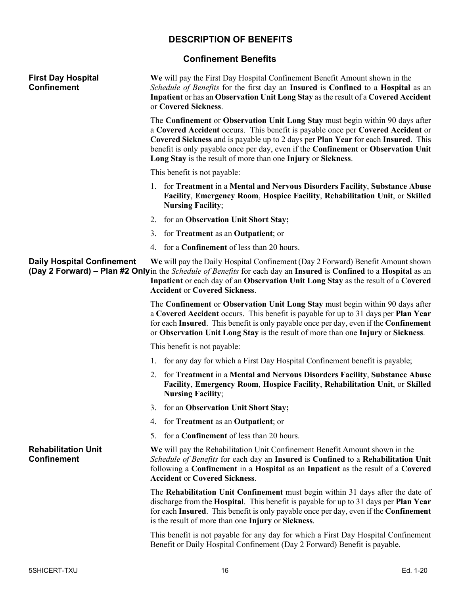# **DESCRIPTION OF BENEFITS**

## **Confinement Benefits**

<span id="page-15-1"></span><span id="page-15-0"></span>

| <b>First Day Hospital</b><br><b>Confinement</b>  |    | We will pay the First Day Hospital Confinement Benefit Amount shown in the<br>Schedule of Benefits for the first day an Insured is Confined to a Hospital as an<br>Inpatient or has an Observation Unit Long Stay as the result of a Covered Accident<br>or Covered Sickness.                                                                                                                              |
|--------------------------------------------------|----|------------------------------------------------------------------------------------------------------------------------------------------------------------------------------------------------------------------------------------------------------------------------------------------------------------------------------------------------------------------------------------------------------------|
|                                                  |    | The Confinement or Observation Unit Long Stay must begin within 90 days after<br>a Covered Accident occurs. This benefit is payable once per Covered Accident or<br>Covered Sickness and is payable up to 2 days per Plan Year for each Insured. This<br>benefit is only payable once per day, even if the Confinement or Observation Unit<br>Long Stay is the result of more than one Injury or Sickness. |
|                                                  |    | This benefit is not payable:                                                                                                                                                                                                                                                                                                                                                                               |
|                                                  |    | 1. for Treatment in a Mental and Nervous Disorders Facility, Substance Abuse<br>Facility, Emergency Room, Hospice Facility, Rehabilitation Unit, or Skilled<br><b>Nursing Facility;</b>                                                                                                                                                                                                                    |
|                                                  |    | 2. for an Observation Unit Short Stay;                                                                                                                                                                                                                                                                                                                                                                     |
|                                                  |    | 3. for Treatment as an Outpatient; or                                                                                                                                                                                                                                                                                                                                                                      |
|                                                  |    | 4. for a <b>Confinement</b> of less than 20 hours.                                                                                                                                                                                                                                                                                                                                                         |
| <b>Daily Hospital Confinement</b>                |    | We will pay the Daily Hospital Confinement (Day 2 Forward) Benefit Amount shown<br><b>(Day 2 Forward)</b> – Plan #2 Onlyin the <i>Schedule of Benefits</i> for each day an Insured is Confined to a Hospital as an<br>Inpatient or each day of an Observation Unit Long Stay as the result of a Covered<br><b>Accident or Covered Sickness.</b>                                                            |
|                                                  |    | The Confinement or Observation Unit Long Stay must begin within 90 days after<br>a Covered Accident occurs. This benefit is payable for up to 31 days per Plan Year<br>for each Insured. This benefit is only payable once per day, even if the Confinement<br>or Observation Unit Long Stay is the result of more than one Injury or Sickness.                                                            |
|                                                  |    | This benefit is not payable:                                                                                                                                                                                                                                                                                                                                                                               |
|                                                  |    | 1. for any day for which a First Day Hospital Confinement benefit is payable;                                                                                                                                                                                                                                                                                                                              |
|                                                  |    | 2. for Treatment in a Mental and Nervous Disorders Facility, Substance Abuse<br>Facility, Emergency Room, Hospice Facility, Rehabilitation Unit, or Skilled<br><b>Nursing Facility;</b>                                                                                                                                                                                                                    |
|                                                  |    | 3. for an Observation Unit Short Stay;                                                                                                                                                                                                                                                                                                                                                                     |
|                                                  | 4. | for <b>Treatment</b> as an <b>Outpatient</b> ; or                                                                                                                                                                                                                                                                                                                                                          |
|                                                  | 5. | for a <b>Confinement</b> of less than 20 hours.                                                                                                                                                                                                                                                                                                                                                            |
| <b>Rehabilitation Unit</b><br><b>Confinement</b> |    | We will pay the Rehabilitation Unit Confinement Benefit Amount shown in the<br>Schedule of Benefits for each day an Insured is Confined to a Rehabilitation Unit<br>following a Confinement in a Hospital as an Inpatient as the result of a Covered<br><b>Accident or Covered Sickness.</b>                                                                                                               |
|                                                  |    | The Rehabilitation Unit Confinement must begin within 31 days after the date of<br>discharge from the Hospital. This benefit is payable for up to 31 days per Plan Year<br>for each Insured. This benefit is only payable once per day, even if the Confinement<br>is the result of more than one Injury or Sickness.                                                                                      |
|                                                  |    | This benefit is not payable for any day for which a First Day Hospital Confinement<br>Benefit or Daily Hospital Confinement (Day 2 Forward) Benefit is payable.                                                                                                                                                                                                                                            |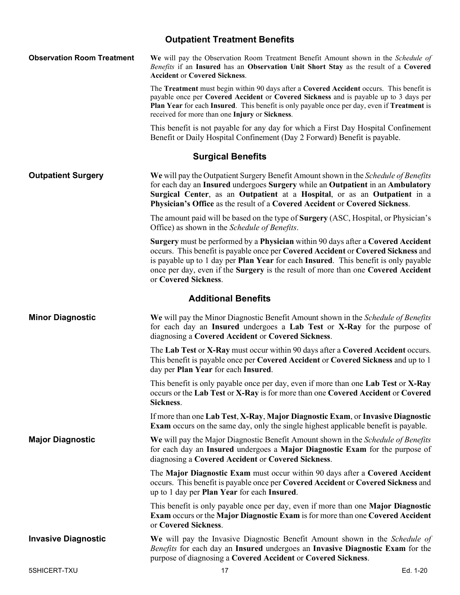# **Outpatient Treatment Benefits**

<span id="page-16-2"></span><span id="page-16-1"></span><span id="page-16-0"></span>

| <b>Observation Room Treatment</b> | We will pay the Observation Room Treatment Benefit Amount shown in the Schedule of<br>Benefits if an Insured has an Observation Unit Short Stay as the result of a Covered<br><b>Accident or Covered Sickness.</b>                                                                                                                                                                                     |
|-----------------------------------|--------------------------------------------------------------------------------------------------------------------------------------------------------------------------------------------------------------------------------------------------------------------------------------------------------------------------------------------------------------------------------------------------------|
|                                   | The Treatment must begin within 90 days after a Covered Accident occurs. This benefit is<br>payable once per Covered Accident or Covered Sickness and is payable up to 3 days per<br>Plan Year for each Insured. This benefit is only payable once per day, even if Treatment is<br>received for more than one Injury or Sickness.                                                                     |
|                                   | This benefit is not payable for any day for which a First Day Hospital Confinement<br>Benefit or Daily Hospital Confinement (Day 2 Forward) Benefit is payable.                                                                                                                                                                                                                                        |
|                                   | <b>Surgical Benefits</b>                                                                                                                                                                                                                                                                                                                                                                               |
| <b>Outpatient Surgery</b>         | We will pay the Outpatient Surgery Benefit Amount shown in the <i>Schedule of Benefits</i><br>for each day an Insured undergoes Surgery while an Outpatient in an Ambulatory<br>Surgical Center, as an Outpatient at a Hospital, or as an Outpatient in a<br>Physician's Office as the result of a Covered Accident or Covered Sickness.                                                               |
|                                   | The amount paid will be based on the type of <b>Surgery</b> (ASC, Hospital, or Physician's<br>Office) as shown in the Schedule of Benefits.                                                                                                                                                                                                                                                            |
|                                   | Surgery must be performed by a Physician within 90 days after a Covered Accident<br>occurs. This benefit is payable once per Covered Accident or Covered Sickness and<br>is payable up to 1 day per <b>Plan Year</b> for each <b>Insured</b> . This benefit is only payable<br>once per day, even if the <b>Surgery</b> is the result of more than one <b>Covered Accident</b><br>or Covered Sickness. |
|                                   | <b>Additional Benefits</b>                                                                                                                                                                                                                                                                                                                                                                             |
| <b>Minor Diagnostic</b>           | We will pay the Minor Diagnostic Benefit Amount shown in the Schedule of Benefits<br>for each day an Insured undergoes a Lab Test or X-Ray for the purpose of<br>diagnosing a Covered Accident or Covered Sickness.                                                                                                                                                                                    |
|                                   | The Lab Test or X-Ray must occur within 90 days after a Covered Accident occurs.<br>This benefit is payable once per Covered Accident or Covered Sickness and up to 1<br>day per Plan Year for each Insured.                                                                                                                                                                                           |
|                                   | This benefit is only payable once per day, even if more than one Lab Test or X-Ray<br>occurs or the Lab Test or X-Ray is for more than one Covered Accident or Covered<br>Sickness.                                                                                                                                                                                                                    |
|                                   | If more than one Lab Test, X-Ray, Major Diagnostic Exam, or Invasive Diagnostic<br><b>Exam</b> occurs on the same day, only the single highest applicable benefit is payable.                                                                                                                                                                                                                          |
| <b>Major Diagnostic</b>           | We will pay the Major Diagnostic Benefit Amount shown in the Schedule of Benefits<br>for each day an Insured undergoes a Major Diagnostic Exam for the purpose of<br>diagnosing a Covered Accident or Covered Sickness.                                                                                                                                                                                |
|                                   | The Major Diagnostic Exam must occur within 90 days after a Covered Accident<br>occurs. This benefit is payable once per Covered Accident or Covered Sickness and<br>up to 1 day per Plan Year for each Insured.                                                                                                                                                                                       |
|                                   | This benefit is only payable once per day, even if more than one <b>Major Diagnostic</b><br><b>Exam occurs or the Major Diagnostic Exam is for more than one Covered Accident</b><br>or Covered Sickness.                                                                                                                                                                                              |
| <b>Invasive Diagnostic</b>        | We will pay the Invasive Diagnostic Benefit Amount shown in the <i>Schedule of</i><br>Benefits for each day an Insured undergoes an Invasive Diagnostic Exam for the<br>purpose of diagnosing a Covered Accident or Covered Sickness.                                                                                                                                                                  |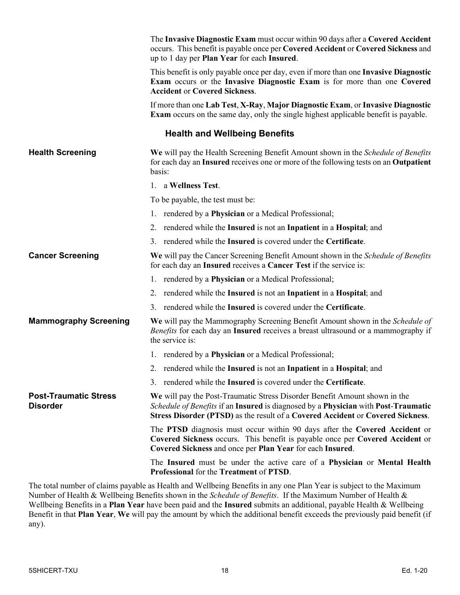|                                                 | The Invasive Diagnostic Exam must occur within 90 days after a Covered Accident<br>occurs. This benefit is payable once per Covered Accident or Covered Sickness and<br>up to 1 day per Plan Year for each Insured.                                 |
|-------------------------------------------------|-----------------------------------------------------------------------------------------------------------------------------------------------------------------------------------------------------------------------------------------------------|
|                                                 | This benefit is only payable once per day, even if more than one Invasive Diagnostic<br>Exam occurs or the Invasive Diagnostic Exam is for more than one Covered<br><b>Accident or Covered Sickness.</b>                                            |
|                                                 | If more than one Lab Test, X-Ray, Major Diagnostic Exam, or Invasive Diagnostic<br><b>Exam</b> occurs on the same day, only the single highest applicable benefit is payable.                                                                       |
|                                                 | <b>Health and Wellbeing Benefits</b>                                                                                                                                                                                                                |
| <b>Health Screening</b>                         | We will pay the Health Screening Benefit Amount shown in the Schedule of Benefits<br>for each day an Insured receives one or more of the following tests on an Outpatient<br>basis:                                                                 |
|                                                 | 1. a Wellness Test.                                                                                                                                                                                                                                 |
|                                                 | To be payable, the test must be:                                                                                                                                                                                                                    |
|                                                 | 1. rendered by a <b>Physician</b> or a Medical Professional;                                                                                                                                                                                        |
|                                                 | 2. rendered while the Insured is not an Inpatient in a Hospital; and                                                                                                                                                                                |
|                                                 | 3. rendered while the Insured is covered under the Certificate.                                                                                                                                                                                     |
| <b>Cancer Screening</b>                         | We will pay the Cancer Screening Benefit Amount shown in the Schedule of Benefits<br>for each day an <b>Insured</b> receives a <b>Cancer Test</b> if the service is:                                                                                |
|                                                 | 1. rendered by a Physician or a Medical Professional;                                                                                                                                                                                               |
|                                                 | 2. rendered while the Insured is not an Inpatient in a Hospital; and                                                                                                                                                                                |
|                                                 | 3. rendered while the Insured is covered under the Certificate.                                                                                                                                                                                     |
| <b>Mammography Screening</b>                    | We will pay the Mammography Screening Benefit Amount shown in the Schedule of<br><i>Benefits</i> for each day an <b>Insured</b> receives a breast ultrasound or a mammography if<br>the service is:                                                 |
|                                                 | 1. rendered by a <b>Physician</b> or a Medical Professional;                                                                                                                                                                                        |
|                                                 | 2. rendered while the Insured is not an Inpatient in a Hospital; and                                                                                                                                                                                |
|                                                 | 3. rendered while the Insured is covered under the Certificate.                                                                                                                                                                                     |
| <b>Post-Traumatic Stress</b><br><b>Disorder</b> | We will pay the Post-Traumatic Stress Disorder Benefit Amount shown in the<br>Schedule of Benefits if an Insured is diagnosed by a Physician with Post-Traumatic<br>Stress Disorder (PTSD) as the result of a Covered Accident or Covered Sickness. |
|                                                 | The PTSD diagnosis must occur within 90 days after the Covered Accident or<br>Covered Sickness occurs. This benefit is payable once per Covered Accident or<br>Covered Sickness and once per Plan Year for each Insured.                            |
|                                                 | The Insured must be under the active care of a Physician or Mental Health<br>Professional for the Treatment of PTSD.                                                                                                                                |

The total number of claims payable as Health and Wellbeing Benefits in any one Plan Year is subject to the Maximum Number of Health & Wellbeing Benefits shown in the *Schedule of Benefits*. If the Maximum Number of Health & Wellbeing Benefits in a **Plan Year** have been paid and the **Insured** submits an additional, payable Health & Wellbeing Benefit in that **Plan Year**, **We** will pay the amount by which the additional benefit exceeds the previously paid benefit (if any).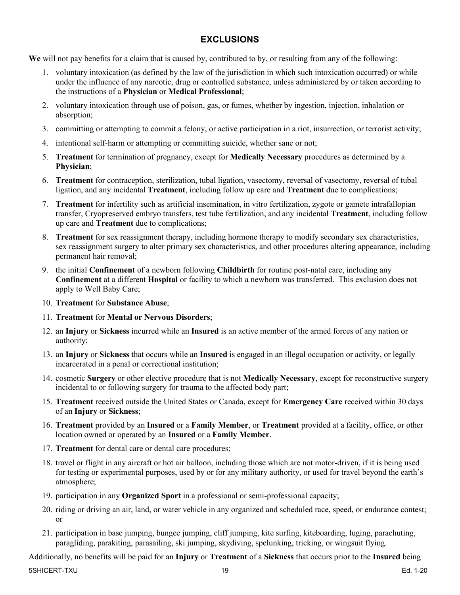## **EXCLUSIONS**

<span id="page-18-0"></span>**We** will not pay benefits for a claim that is caused by, contributed to by, or resulting from any of the following:

- 1. voluntary intoxication (as defined by the law of the jurisdiction in which such intoxication occurred) or while under the influence of any narcotic, drug or controlled substance, unless administered by or taken according to the instructions of a **Physician** or **Medical Professional**;
- 2. voluntary intoxication through use of poison, gas, or fumes, whether by ingestion, injection, inhalation or absorption;
- 3. committing or attempting to commit a felony, or active participation in a riot, insurrection, or terrorist activity;
- 4. intentional self-harm or attempting or committing suicide, whether sane or not;
- 5. **Treatment** for termination of pregnancy, except for **Medically Necessary** procedures as determined by a **Physician**;
- 6. **Treatment** for contraception, sterilization, tubal ligation, vasectomy, reversal of vasectomy, reversal of tubal ligation, and any incidental **Treatment**, including follow up care and **Treatment** due to complications;
- 7. **Treatment** for infertility such as artificial insemination, in vitro fertilization, zygote or gamete intrafallopian transfer, Cryopreserved embryo transfers, test tube fertilization, and any incidental **Treatment**, including follow up care and **Treatment** due to complications;
- 8. **Treatment** for sex reassignment therapy, including hormone therapy to modify secondary sex characteristics, sex reassignment surgery to alter primary sex characteristics, and other procedures altering appearance, including permanent hair removal;
- 9. the initial **Confinement** of a newborn following **Childbirth** for routine post-natal care, including any **Confinement** at a different **Hospital** or facility to which a newborn was transferred. This exclusion does not apply to Well Baby Care;
- 10. **Treatment** for **Substance Abuse**;
- 11. **Treatment** for **Mental or Nervous Disorders**;
- 12. an **Injury** or **Sickness** incurred while an **Insured** is an active member of the armed forces of any nation or authority;
- 13. an **Injury** or **Sickness** that occurs while an **Insured** is engaged in an illegal occupation or activity, or legally incarcerated in a penal or correctional institution;
- 14. cosmetic **Surgery** or other elective procedure that is not **Medically Necessary**, except for reconstructive surgery incidental to or following surgery for trauma to the affected body part;
- 15. **Treatment** received outside the United States or Canada, except for **Emergency Care** received within 30 days of an **Injury** or **Sickness**;
- 16. **Treatment** provided by an **Insured** or a **Family Member**, or **Treatment** provided at a facility, office, or other location owned or operated by an **Insured** or a **Family Member**.
- 17. **Treatment** for dental care or dental care procedures;
- 18. travel or flight in any aircraft or hot air balloon, including those which are not motor-driven, if it is being used for testing or experimental purposes, used by or for any military authority, or used for travel beyond the earth's atmosphere;
- 19. participation in any **Organized Sport** in a professional or semi-professional capacity;
- 20. riding or driving an air, land, or water vehicle in any organized and scheduled race, speed, or endurance contest; or
- 21. participation in base jumping, bungee jumping, cliff jumping, kite surfing, kiteboarding, luging, parachuting, paragliding, parakiting, parasailing, ski jumping, skydiving, spelunking, tricking, or wingsuit flying.

Additionally, no benefits will be paid for an **Injury** or **Treatment** of a **Sickness** that occurs prior to the **Insured** being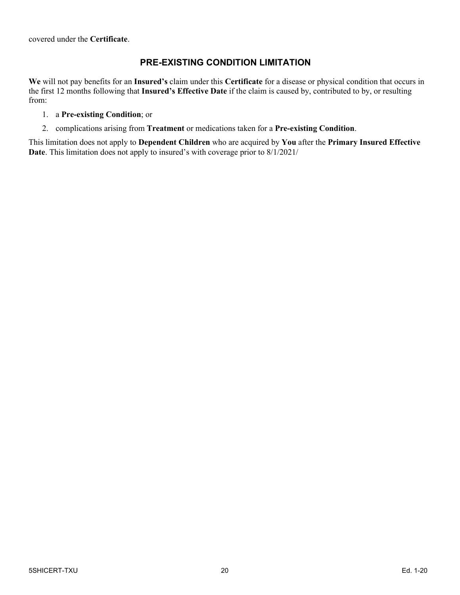covered under the **Certificate**.

## **PRE-EXISTING CONDITION LIMITATION**

**We** will not pay benefits for an **Insured's** claim under this **Certificate** for a disease or physical condition that occurs in the first 12 months following that **Insured's Effective Date** if the claim is caused by, contributed to by, or resulting from:

#### 1. a **Pre-existing Condition**; or

2. complications arising from **Treatment** or medications taken for a **Pre-existing Condition**.

This limitation does not apply to **Dependent Children** who are acquired by **You** after the **Primary Insured Effective Date**. This limitation does not apply to insured's with coverage prior to 8/1/2021/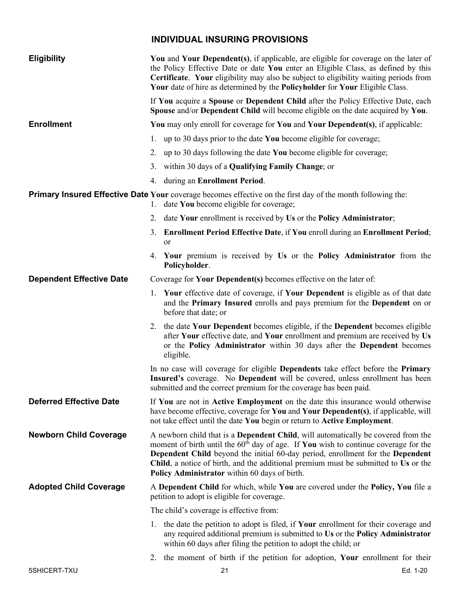# **INDIVIDUAL INSURING PROVISIONS**

<span id="page-20-0"></span>

| <b>Eligibility</b>              | You and Your Dependent(s), if applicable, are eligible for coverage on the later of<br>the Policy Effective Date or date You enter an Eligible Class, as defined by this<br>Certificate. Your eligibility may also be subject to eligibility waiting periods from<br>Your date of hire as determined by the Policyholder for Your Eligible Class.                                                            |
|---------------------------------|--------------------------------------------------------------------------------------------------------------------------------------------------------------------------------------------------------------------------------------------------------------------------------------------------------------------------------------------------------------------------------------------------------------|
|                                 | If You acquire a Spouse or Dependent Child after the Policy Effective Date, each<br>Spouse and/or Dependent Child will become eligible on the date acquired by You.                                                                                                                                                                                                                                          |
| <b>Enrollment</b>               | You may only enroll for coverage for You and Your Dependent(s), if applicable:                                                                                                                                                                                                                                                                                                                               |
|                                 | 1. up to 30 days prior to the date You become eligible for coverage;                                                                                                                                                                                                                                                                                                                                         |
|                                 | 2. up to 30 days following the date You become eligible for coverage;                                                                                                                                                                                                                                                                                                                                        |
|                                 | 3. within 30 days of a <b>Qualifying Family Change</b> ; or                                                                                                                                                                                                                                                                                                                                                  |
|                                 | during an Enrollment Period.<br>4.                                                                                                                                                                                                                                                                                                                                                                           |
|                                 | <b>Primary Insured Effective Date Your</b> coverage becomes effective on the first day of the month following the:<br>1. date You become eligible for coverage;                                                                                                                                                                                                                                              |
|                                 | 2. date Your enrollment is received by Us or the Policy Administrator;                                                                                                                                                                                                                                                                                                                                       |
|                                 | 3. Enrollment Period Effective Date, if You enroll during an Enrollment Period;<br><b>or</b>                                                                                                                                                                                                                                                                                                                 |
|                                 | 4. Your premium is received by Us or the Policy Administrator from the<br>Policyholder.                                                                                                                                                                                                                                                                                                                      |
| <b>Dependent Effective Date</b> | Coverage for Your Dependent(s) becomes effective on the later of:                                                                                                                                                                                                                                                                                                                                            |
|                                 | 1. Your effective date of coverage, if Your Dependent is eligible as of that date<br>and the Primary Insured enrolls and pays premium for the Dependent on or<br>before that date; or                                                                                                                                                                                                                        |
|                                 | 2. the date Your Dependent becomes eligible, if the Dependent becomes eligible<br>after Your effective date, and Your enrollment and premium are received by Us<br>or the Policy Administrator within 30 days after the Dependent becomes<br>eligible.                                                                                                                                                       |
|                                 | In no case will coverage for eligible Dependents take effect before the Primary<br>Insured's coverage. No Dependent will be covered, unless enrollment has been<br>submitted and the correct premium for the coverage has been paid.                                                                                                                                                                         |
| <b>Deferred Effective Date</b>  | If You are not in Active Employment on the date this insurance would otherwise<br>have become effective, coverage for You and Your Dependent(s), if applicable, will<br>not take effect until the date You begin or return to Active Employment.                                                                                                                                                             |
| <b>Newborn Child Coverage</b>   | A newborn child that is a <b>Dependent Child</b> , will automatically be covered from the<br>moment of birth until the $60th$ day of age. If You wish to continue coverage for the<br>Dependent Child beyond the initial 60-day period, enrollment for the Dependent<br>Child, a notice of birth, and the additional premium must be submitted to Us or the<br>Policy Administrator within 60 days of birth. |
| <b>Adopted Child Coverage</b>   | A Dependent Child for which, while You are covered under the Policy, You file a<br>petition to adopt is eligible for coverage.                                                                                                                                                                                                                                                                               |
|                                 | The child's coverage is effective from:                                                                                                                                                                                                                                                                                                                                                                      |
|                                 | 1. the date the petition to adopt is filed, if Your enrollment for their coverage and<br>any required additional premium is submitted to Us or the Policy Administrator<br>within 60 days after filing the petition to adopt the child; or                                                                                                                                                                   |
|                                 | the moment of birth if the petition for adoption, Your enrollment for their<br>2.                                                                                                                                                                                                                                                                                                                            |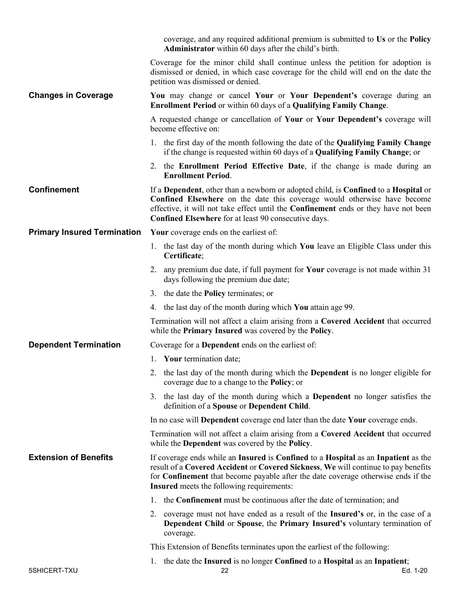|                                    | coverage, and any required additional premium is submitted to Us or the Policy<br><b>Administrator</b> within 60 days after the child's birth.                                                                                                                                                                        |
|------------------------------------|-----------------------------------------------------------------------------------------------------------------------------------------------------------------------------------------------------------------------------------------------------------------------------------------------------------------------|
|                                    | Coverage for the minor child shall continue unless the petition for adoption is<br>dismissed or denied, in which case coverage for the child will end on the date the<br>petition was dismissed or denied.                                                                                                            |
| <b>Changes in Coverage</b>         | You may change or cancel Your or Your Dependent's coverage during an<br><b>Enrollment Period</b> or within 60 days of a <b>Qualifying Family Change</b> .                                                                                                                                                             |
|                                    | A requested change or cancellation of Your or Your Dependent's coverage will<br>become effective on:                                                                                                                                                                                                                  |
|                                    | 1. the first day of the month following the date of the Qualifying Family Change<br>if the change is requested within 60 days of a <b>Qualifying Family Change</b> ; or                                                                                                                                               |
|                                    | 2. the <b>Enrollment Period Effective Date</b> , if the change is made during an<br><b>Enrollment Period.</b>                                                                                                                                                                                                         |
| <b>Confinement</b>                 | If a Dependent, other than a newborn or adopted child, is Confined to a Hospital or<br>Confined Elsewhere on the date this coverage would otherwise have become<br>effective, it will not take effect until the <b>Confinement</b> ends or they have not been<br>Confined Elsewhere for at least 90 consecutive days. |
| <b>Primary Insured Termination</b> | Your coverage ends on the earliest of:                                                                                                                                                                                                                                                                                |
|                                    | 1. the last day of the month during which You leave an Eligible Class under this<br>Certificate;                                                                                                                                                                                                                      |
|                                    | 2. any premium due date, if full payment for <b>Your</b> coverage is not made within 31<br>days following the premium due date;                                                                                                                                                                                       |
|                                    | 3. the date the <b>Policy</b> terminates; or                                                                                                                                                                                                                                                                          |
|                                    | 4. the last day of the month during which You attain age 99.                                                                                                                                                                                                                                                          |
|                                    | Termination will not affect a claim arising from a Covered Accident that occurred<br>while the Primary Insured was covered by the Policy.                                                                                                                                                                             |
| <b>Dependent Termination</b>       | Coverage for a Dependent ends on the earliest of:                                                                                                                                                                                                                                                                     |
|                                    | 1. Your termination date;                                                                                                                                                                                                                                                                                             |
|                                    | 2. the last day of the month during which the <b>Dependent</b> is no longer eligible for<br>coverage due to a change to the <b>Policy</b> ; or                                                                                                                                                                        |
|                                    | 3. the last day of the month during which a Dependent no longer satisfies the<br>definition of a Spouse or Dependent Child.                                                                                                                                                                                           |
|                                    | In no case will Dependent coverage end later than the date Your coverage ends.                                                                                                                                                                                                                                        |
|                                    | Termination will not affect a claim arising from a Covered Accident that occurred<br>while the Dependent was covered by the Policy.                                                                                                                                                                                   |
| <b>Extension of Benefits</b>       | If coverage ends while an Insured is Confined to a Hospital as an Inpatient as the<br>result of a Covered Accident or Covered Sickness, We will continue to pay benefits<br>for Confinement that become payable after the date coverage otherwise ends if the<br><b>Insured</b> meets the following requirements:     |
|                                    | the Confinement must be continuous after the date of termination; and<br>1.                                                                                                                                                                                                                                           |
|                                    | 2. coverage must not have ended as a result of the Insured's or, in the case of a<br>Dependent Child or Spouse, the Primary Insured's voluntary termination of<br>coverage.                                                                                                                                           |
|                                    | This Extension of Benefits terminates upon the earliest of the following:                                                                                                                                                                                                                                             |
| 5SHICERT-TXU                       | 1. the date the Insured is no longer Confined to a Hospital as an Inpatient;<br>Ed. 1-20<br>22                                                                                                                                                                                                                        |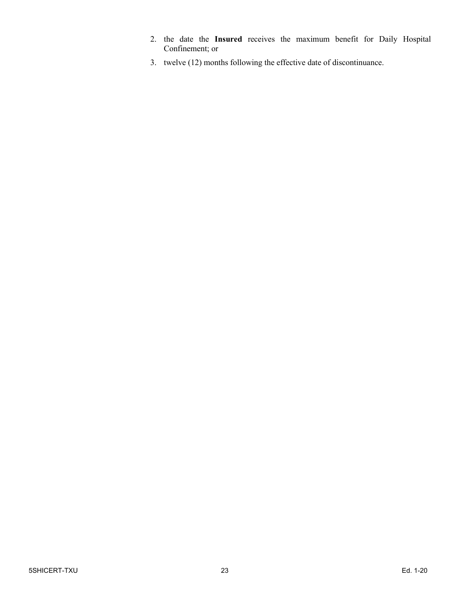- 2. the date the **Insured** receives the maximum benefit for Daily Hospital Confinement; or
- 3. twelve (12) months following the effective date of discontinuance.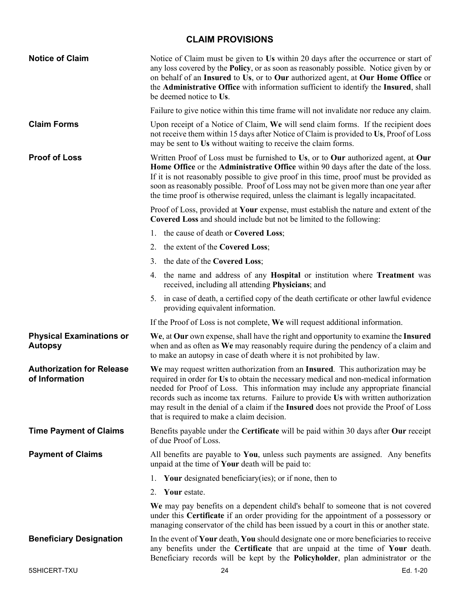# **CLAIM PROVISIONS**

<span id="page-23-0"></span>

| <b>Notice of Claim</b>                             | Notice of Claim must be given to Us within 20 days after the occurrence or start of<br>any loss covered by the Policy, or as soon as reasonably possible. Notice given by or<br>on behalf of an Insured to Us, or to Our authorized agent, at Our Home Office or<br>the Administrative Office with information sufficient to identify the Insured, shall<br>be deemed notice to Us.                                                                                                        |
|----------------------------------------------------|--------------------------------------------------------------------------------------------------------------------------------------------------------------------------------------------------------------------------------------------------------------------------------------------------------------------------------------------------------------------------------------------------------------------------------------------------------------------------------------------|
|                                                    | Failure to give notice within this time frame will not invalidate nor reduce any claim.                                                                                                                                                                                                                                                                                                                                                                                                    |
| <b>Claim Forms</b>                                 | Upon receipt of a Notice of Claim, We will send claim forms. If the recipient does<br>not receive them within 15 days after Notice of Claim is provided to Us, Proof of Loss<br>may be sent to Us without waiting to receive the claim forms.                                                                                                                                                                                                                                              |
| <b>Proof of Loss</b>                               | Written Proof of Loss must be furnished to Us, or to Our authorized agent, at Our<br>Home Office or the Administrative Office within 90 days after the date of the loss.<br>If it is not reasonably possible to give proof in this time, proof must be provided as<br>soon as reasonably possible. Proof of Loss may not be given more than one year after<br>the time proof is otherwise required, unless the claimant is legally incapacitated.                                          |
|                                                    | Proof of Loss, provided at Your expense, must establish the nature and extent of the<br>Covered Loss and should include but not be limited to the following:                                                                                                                                                                                                                                                                                                                               |
|                                                    | 1. the cause of death or Covered Loss;                                                                                                                                                                                                                                                                                                                                                                                                                                                     |
|                                                    | 2. the extent of the Covered Loss;                                                                                                                                                                                                                                                                                                                                                                                                                                                         |
|                                                    | 3. the date of the Covered Loss;                                                                                                                                                                                                                                                                                                                                                                                                                                                           |
|                                                    | 4. the name and address of any <b>Hospital</b> or institution where <b>Treatment</b> was<br>received, including all attending Physicians; and                                                                                                                                                                                                                                                                                                                                              |
|                                                    | 5. in case of death, a certified copy of the death certificate or other lawful evidence<br>providing equivalent information.                                                                                                                                                                                                                                                                                                                                                               |
|                                                    | If the Proof of Loss is not complete, We will request additional information.                                                                                                                                                                                                                                                                                                                                                                                                              |
| <b>Physical Examinations or</b><br><b>Autopsy</b>  | We, at Our own expense, shall have the right and opportunity to examine the Insured<br>when and as often as We may reasonably require during the pendency of a claim and<br>to make an autopsy in case of death where it is not prohibited by law.                                                                                                                                                                                                                                         |
| <b>Authorization for Release</b><br>of Information | We may request written authorization from an Insured. This authorization may be<br>required in order for Us to obtain the necessary medical and non-medical information<br>needed for Proof of Loss. This information may include any appropriate financial<br>records such as income tax returns. Failure to provide Us with written authorization<br>may result in the denial of a claim if the Insured does not provide the Proof of Loss<br>that is required to make a claim decision. |
| <b>Time Payment of Claims</b>                      | Benefits payable under the Certificate will be paid within 30 days after Our receipt<br>of due Proof of Loss.                                                                                                                                                                                                                                                                                                                                                                              |
| <b>Payment of Claims</b>                           | All benefits are payable to You, unless such payments are assigned. Any benefits<br>unpaid at the time of Your death will be paid to:                                                                                                                                                                                                                                                                                                                                                      |
|                                                    | Your designated beneficiary (ies); or if none, then to<br>Ι.                                                                                                                                                                                                                                                                                                                                                                                                                               |
|                                                    | Your estate.<br>2.                                                                                                                                                                                                                                                                                                                                                                                                                                                                         |
|                                                    | We may pay benefits on a dependent child's behalf to someone that is not covered<br>under this Certificate if an order providing for the appointment of a possessory or<br>managing conservator of the child has been issued by a court in this or another state.                                                                                                                                                                                                                          |
| <b>Beneficiary Designation</b>                     | In the event of Your death, You should designate one or more beneficiaries to receive<br>any benefits under the Certificate that are unpaid at the time of Your death.<br>Beneficiary records will be kept by the Policyholder, plan administrator or the                                                                                                                                                                                                                                  |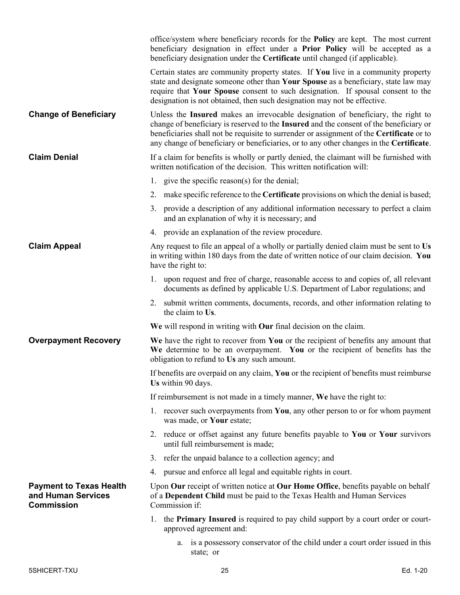|                                                                           | office/system where beneficiary records for the <b>Policy</b> are kept. The most current<br>beneficiary designation in effect under a Prior Policy will be accepted as a<br>beneficiary designation under the Certificate until changed (if applicable).                                                                                                                        |
|---------------------------------------------------------------------------|---------------------------------------------------------------------------------------------------------------------------------------------------------------------------------------------------------------------------------------------------------------------------------------------------------------------------------------------------------------------------------|
|                                                                           | Certain states are community property states. If You live in a community property<br>state and designate someone other than Your Spouse as a beneficiary, state law may<br>require that Your Spouse consent to such designation. If spousal consent to the<br>designation is not obtained, then such designation may not be effective.                                          |
| <b>Change of Beneficiary</b>                                              | Unless the Insured makes an irrevocable designation of beneficiary, the right to<br>change of beneficiary is reserved to the <b>Insured</b> and the consent of the beneficiary or<br>beneficiaries shall not be requisite to surrender or assignment of the <b>Certificate</b> or to<br>any change of beneficiary or beneficiaries, or to any other changes in the Certificate. |
| <b>Claim Denial</b>                                                       | If a claim for benefits is wholly or partly denied, the claimant will be furnished with<br>written notification of the decision. This written notification will:                                                                                                                                                                                                                |
|                                                                           | 1. give the specific reason(s) for the denial;                                                                                                                                                                                                                                                                                                                                  |
|                                                                           | make specific reference to the Certificate provisions on which the denial is based;<br>2.                                                                                                                                                                                                                                                                                       |
|                                                                           | 3. provide a description of any additional information necessary to perfect a claim<br>and an explanation of why it is necessary; and                                                                                                                                                                                                                                           |
|                                                                           | 4. provide an explanation of the review procedure.                                                                                                                                                                                                                                                                                                                              |
| <b>Claim Appeal</b>                                                       | Any request to file an appeal of a wholly or partially denied claim must be sent to Us<br>in writing within 180 days from the date of written notice of our claim decision. You<br>have the right to:                                                                                                                                                                           |
|                                                                           | 1. upon request and free of charge, reasonable access to and copies of, all relevant<br>documents as defined by applicable U.S. Department of Labor regulations; and                                                                                                                                                                                                            |
|                                                                           | 2. submit written comments, documents, records, and other information relating to<br>the claim to Us.                                                                                                                                                                                                                                                                           |
|                                                                           | We will respond in writing with Our final decision on the claim.                                                                                                                                                                                                                                                                                                                |
| <b>Overpayment Recovery</b>                                               | We have the right to recover from You or the recipient of benefits any amount that<br>We determine to be an overpayment. You or the recipient of benefits has the<br>obligation to refund to Us any such amount.                                                                                                                                                                |
|                                                                           | If benefits are overpaid on any claim, You or the recipient of benefits must reimburse<br>Us within 90 days.                                                                                                                                                                                                                                                                    |
|                                                                           | If reimbursement is not made in a timely manner, We have the right to:                                                                                                                                                                                                                                                                                                          |
|                                                                           | 1. recover such overpayments from You, any other person to or for whom payment<br>was made, or Your estate;                                                                                                                                                                                                                                                                     |
|                                                                           | 2. reduce or offset against any future benefits payable to You or Your survivors<br>until full reimbursement is made;                                                                                                                                                                                                                                                           |
|                                                                           | 3. refer the unpaid balance to a collection agency; and                                                                                                                                                                                                                                                                                                                         |
|                                                                           | 4. pursue and enforce all legal and equitable rights in court.                                                                                                                                                                                                                                                                                                                  |
| <b>Payment to Texas Health</b><br>and Human Services<br><b>Commission</b> | Upon Our receipt of written notice at Our Home Office, benefits payable on behalf<br>of a Dependent Child must be paid to the Texas Health and Human Services<br>Commission if:                                                                                                                                                                                                 |
|                                                                           | 1. the Primary Insured is required to pay child support by a court order or court-<br>approved agreement and:                                                                                                                                                                                                                                                                   |
|                                                                           | a. is a possessory conservator of the child under a court order issued in this<br>state; or                                                                                                                                                                                                                                                                                     |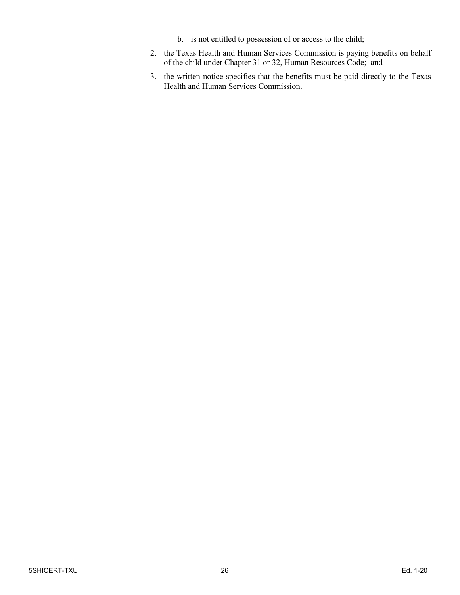- b. is not entitled to possession of or access to the child;
- 2. the Texas Health and Human Services Commission is paying benefits on behalf of the child under Chapter 31 or 32, Human Resources Code; and
- 3. the written notice specifies that the benefits must be paid directly to the Texas Health and Human Services Commission.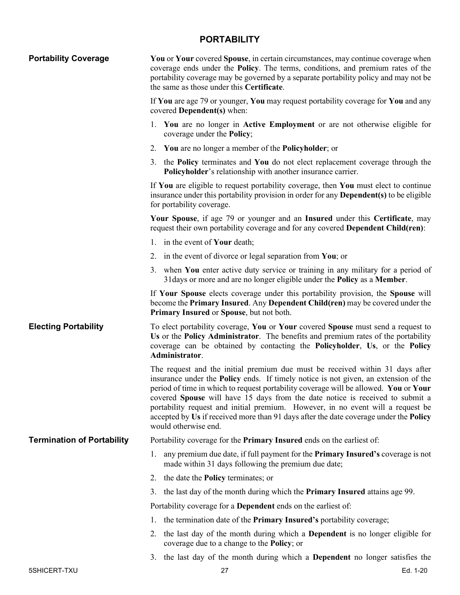## **PORTABILITY**

<span id="page-26-0"></span>

| <b>Portability Coverage</b>       | <b>You</b> or <b>Your</b> covered <b>Spouse</b> , in certain circumstances, may continue coverage when<br>coverage ends under the Policy. The terms, conditions, and premium rates of the<br>portability coverage may be governed by a separate portability policy and may not be<br>the same as those under this Certificate.                                                                                                                                                                                                                                  |
|-----------------------------------|-----------------------------------------------------------------------------------------------------------------------------------------------------------------------------------------------------------------------------------------------------------------------------------------------------------------------------------------------------------------------------------------------------------------------------------------------------------------------------------------------------------------------------------------------------------------|
|                                   | If You are age 79 or younger, You may request portability coverage for You and any<br>covered <b>Dependent</b> (s) when:                                                                                                                                                                                                                                                                                                                                                                                                                                        |
|                                   | 1. You are no longer in Active Employment or are not otherwise eligible for<br>coverage under the <b>Policy</b> ;                                                                                                                                                                                                                                                                                                                                                                                                                                               |
|                                   | 2. You are no longer a member of the <b>Policyholder</b> ; or                                                                                                                                                                                                                                                                                                                                                                                                                                                                                                   |
|                                   | 3. the <b>Policy</b> terminates and <b>You</b> do not elect replacement coverage through the<br><b>Policyholder's relationship with another insurance carrier.</b>                                                                                                                                                                                                                                                                                                                                                                                              |
|                                   | If You are eligible to request portability coverage, then You must elect to continue<br>insurance under this portability provision in order for any <b>Dependent(s)</b> to be eligible<br>for portability coverage.                                                                                                                                                                                                                                                                                                                                             |
|                                   | Your Spouse, if age 79 or younger and an Insured under this Certificate, may<br>request their own portability coverage and for any covered Dependent Child(ren):                                                                                                                                                                                                                                                                                                                                                                                                |
|                                   | 1. in the event of <b>Your</b> death;                                                                                                                                                                                                                                                                                                                                                                                                                                                                                                                           |
|                                   | 2. in the event of divorce or legal separation from You; or                                                                                                                                                                                                                                                                                                                                                                                                                                                                                                     |
|                                   | 3. when You enter active duty service or training in any military for a period of<br>31 days or more and are no longer eligible under the <b>Policy</b> as a <b>Member</b> .                                                                                                                                                                                                                                                                                                                                                                                    |
|                                   | If Your Spouse elects coverage under this portability provision, the Spouse will<br>become the Primary Insured. Any Dependent Child(ren) may be covered under the<br>Primary Insured or Spouse, but not both.                                                                                                                                                                                                                                                                                                                                                   |
| <b>Electing Portability</b>       | To elect portability coverage, You or Your covered Spouse must send a request to<br>Us or the Policy Administrator. The benefits and premium rates of the portability<br>coverage can be obtained by contacting the Policyholder, Us, or the Policy<br>Administrator.                                                                                                                                                                                                                                                                                           |
|                                   | The request and the initial premium due must be received within 31 days after<br>insurance under the <b>Policy</b> ends. If timely notice is not given, an extension of the<br>period of time in which to request portability coverage will be allowed. You or Your<br>covered Spouse will have 15 days from the date notice is received to submit a<br>portability request and initial premium. However, in no event will a request be<br>accepted by Us if received more than 91 days after the date coverage under the <b>Policy</b><br>would otherwise end. |
| <b>Termination of Portability</b> | Portability coverage for the <b>Primary Insured</b> ends on the earliest of:                                                                                                                                                                                                                                                                                                                                                                                                                                                                                    |
|                                   | 1. any premium due date, if full payment for the <b>Primary Insured's</b> coverage is not<br>made within 31 days following the premium due date;                                                                                                                                                                                                                                                                                                                                                                                                                |
|                                   | 2. the date the <b>Policy</b> terminates; or                                                                                                                                                                                                                                                                                                                                                                                                                                                                                                                    |
|                                   | the last day of the month during which the <b>Primary Insured</b> attains age 99.<br>3.                                                                                                                                                                                                                                                                                                                                                                                                                                                                         |
|                                   | Portability coverage for a <b>Dependent</b> ends on the earliest of:                                                                                                                                                                                                                                                                                                                                                                                                                                                                                            |
|                                   | the termination date of the <b>Primary Insured's</b> portability coverage;<br>1.                                                                                                                                                                                                                                                                                                                                                                                                                                                                                |
|                                   | 2. the last day of the month during which a <b>Dependent</b> is no longer eligible for<br>coverage due to a change to the <b>Policy</b> ; or                                                                                                                                                                                                                                                                                                                                                                                                                    |
|                                   | 3. the last day of the month during which a Dependent no longer satisfies the                                                                                                                                                                                                                                                                                                                                                                                                                                                                                   |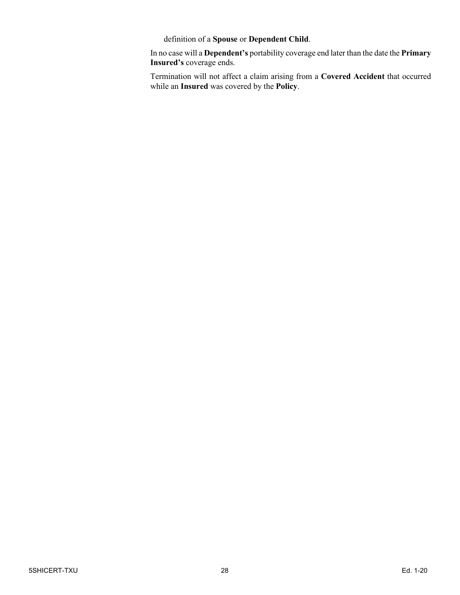definition of a **Spouse** or **Dependent Child**.

In no case will a **Dependent's** portability coverage end later than the date the **Primary Insured's** coverage ends.

Termination will not affect a claim arising from a **Covered Accident** that occurred while an **Insured** was covered by the **Policy**.